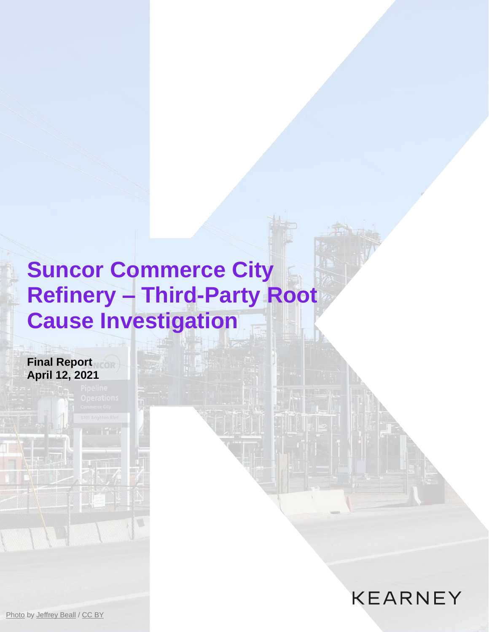# **Suncor Commerce City Refinery – Third-Party Root Cause Investigation**

**Final Report April 12, 2021**

**KEARNEY** 

[Photo](https://commons.wikimedia.org/wiki/File:Suncor_Energy_refinery_%28Commerce_City,_Colorado%29.JPG) b[y Jeffrey Beall](https://commons.wikimedia.org/wiki/User:Jeffrey_Beall) [/ CC BY](https://creativecommons.org/licenses/by/4.0/deed.en)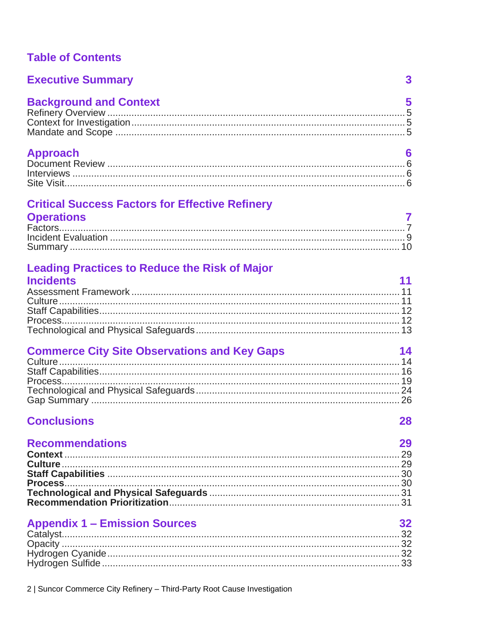## **Table of Contents**

| <b>Executive Summary</b>      | -2 |
|-------------------------------|----|
| <b>Background and Context</b> |    |

## **Approach**

| <b>Approach</b> |  |
|-----------------|--|
|                 |  |
|                 |  |
|                 |  |

## **Critical Success Factors for Effective Refinery** Onerations

| <b>Operations</b> |  |
|-------------------|--|
|                   |  |
|                   |  |
|                   |  |

# **Leading Practices to Reduce the Risk of Major**

| <b>Incidents</b> | 11 |
|------------------|----|
|                  |    |
|                  |    |
|                  |    |
|                  |    |
|                  |    |

## **Commerce City Site Observations and Key Gaps**

# **Conclusions**

## 28

32

 $14$ 

| 29 |
|----|
|    |
|    |
|    |
|    |
|    |
|    |
|    |

## **Appendix 1 - Emission Sources**

2 | Suncor Commerce City Refinery - Third-Party Root Cause Investigation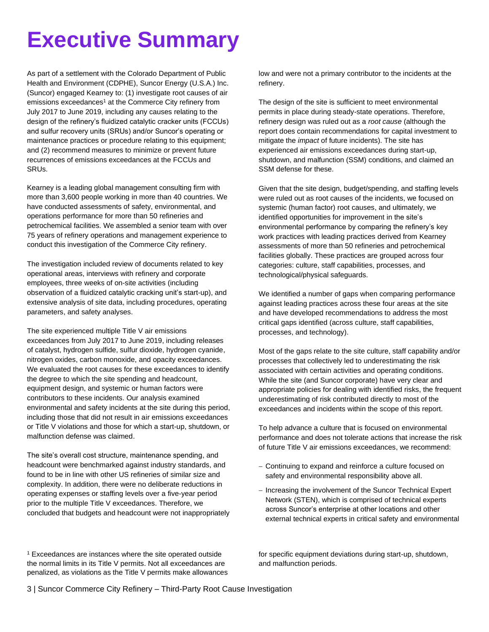# <span id="page-2-0"></span>**Executive Summary**

As part of a settlement with the Colorado Department of Public Health and Environment (CDPHE), Suncor Energy (U.S.A.) Inc. (Suncor) engaged Kearney to: (1) investigate root causes of air emissions exceedances<sup>1</sup> at the Commerce City refinery from July 2017 to June 2019, including any causes relating to the design of the refinery's fluidized catalytic cracker units (FCCUs) and sulfur recovery units (SRUs) and/or Suncor's operating or maintenance practices or procedure relating to this equipment; and (2) recommend measures to minimize or prevent future recurrences of emissions exceedances at the FCCUs and SRUs.

Kearney is a leading global management consulting firm with more than 3,600 people working in more than 40 countries. We have conducted assessments of safety, environmental, and operations performance for more than 50 refineries and petrochemical facilities. We assembled a senior team with over 75 years of refinery operations and management experience to conduct this investigation of the Commerce City refinery.

The investigation included review of documents related to key operational areas, interviews with refinery and corporate employees, three weeks of on-site activities (including observation of a fluidized catalytic cracking unit's start-up), and extensive analysis of site data, including procedures, operating parameters, and safety analyses.

The site experienced multiple Title V air emissions exceedances from July 2017 to June 2019, including releases of catalyst, hydrogen sulfide, sulfur dioxide, hydrogen cyanide, nitrogen oxides, carbon monoxide, and opacity exceedances. We evaluated the root causes for these exceedances to identify the degree to which the site spending and headcount, equipment design, and systemic or human factors were contributors to these incidents. Our analysis examined environmental and safety incidents at the site during this period, including those that did not result in air emissions exceedances or Title V violations and those for which a start-up, shutdown, or malfunction defense was claimed.

The site's overall cost structure, maintenance spending, and headcount were benchmarked against industry standards, and found to be in line with other US refineries of similar size and complexity. In addition, there were no deliberate reductions in operating expenses or staffing levels over a five-year period prior to the multiple Title V exceedances. Therefore, we concluded that budgets and headcount were not inappropriately low and were not a primary contributor to the incidents at the refinery.

The design of the site is sufficient to meet environmental permits in place during steady-state operations. Therefore, refinery design was ruled out as a *root cause* (although the report does contain recommendations for capital investment to mitigate the *impact* of future incidents). The site has experienced air emissions exceedances during start-up, shutdown, and malfunction (SSM) conditions, and claimed an SSM defense for these.

Given that the site design, budget/spending, and staffing levels were ruled out as root causes of the incidents, we focused on systemic (human factor) root causes, and ultimately, we identified opportunities for improvement in the site's environmental performance by comparing the refinery's key work practices with leading practices derived from Kearney assessments of more than 50 refineries and petrochemical facilities globally. These practices are grouped across four categories: culture, staff capabilities, processes, and technological/physical safeguards.

We identified a number of gaps when comparing performance against leading practices across these four areas at the site and have developed recommendations to address the most critical gaps identified (across culture, staff capabilities, processes, and technology).

Most of the gaps relate to the site culture, staff capability and/or processes that collectively led to underestimating the risk associated with certain activities and operating conditions. While the site (and Suncor corporate) have very clear and appropriate policies for dealing with identified risks, the frequent underestimating of risk contributed directly to most of the exceedances and incidents within the scope of this report.

To help advance a culture that is focused on environmental performance and does not tolerate actions that increase the risk of future Title V air emissions exceedances, we recommend:

- − Continuing to expand and reinforce a culture focused on safety and environmental responsibility above all.
- − Increasing the involvement of the Suncor Technical Expert Network (STEN), which is comprised of technical experts across Suncor's enterprise at other locations and other external technical experts in critical safety and environmental

<sup>1</sup> Exceedances are instances where the site operated outside the normal limits in its Title V permits. Not all exceedances are penalized, as violations as the Title V permits make allowances for specific equipment deviations during start-up, shutdown, and malfunction periods.

3 | Suncor Commerce City Refinery – Third-Party Root Cause Investigation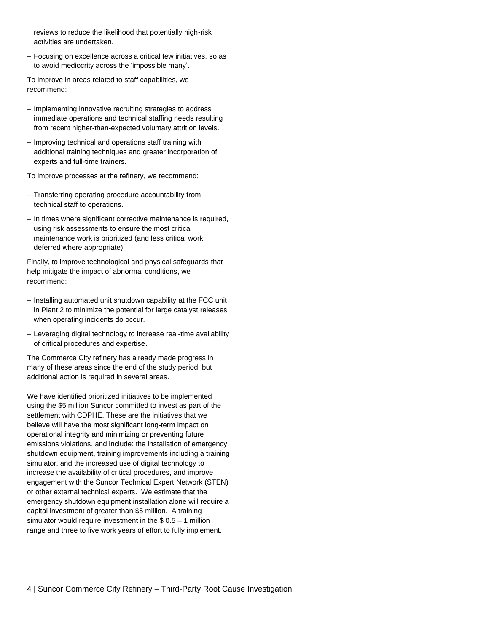reviews to reduce the likelihood that potentially high-risk activities are undertaken.

− Focusing on excellence across a critical few initiatives, so as to avoid mediocrity across the 'impossible many'.

To improve in areas related to staff capabilities, we recommend:

- − Implementing innovative recruiting strategies to address immediate operations and technical staffing needs resulting from recent higher-than-expected voluntary attrition levels.
- − Improving technical and operations staff training with additional training techniques and greater incorporation of experts and full-time trainers.

To improve processes at the refinery, we recommend:

- − Transferring operating procedure accountability from technical staff to operations.
- − In times where significant corrective maintenance is required, using risk assessments to ensure the most critical maintenance work is prioritized (and less critical work deferred where appropriate).

Finally, to improve technological and physical safeguards that help mitigate the impact of abnormal conditions, we recommend:

- − Installing automated unit shutdown capability at the FCC unit in Plant 2 to minimize the potential for large catalyst releases when operating incidents do occur.
- − Leveraging digital technology to increase real-time availability of critical procedures and expertise.

The Commerce City refinery has already made progress in many of these areas since the end of the study period, but additional action is required in several areas.

We have identified prioritized initiatives to be implemented using the \$5 million Suncor committed to invest as part of the settlement with CDPHE. These are the initiatives that we believe will have the most significant long-term impact on operational integrity and minimizing or preventing future emissions violations, and include: the installation of emergency shutdown equipment, training improvements including a training simulator, and the increased use of digital technology to increase the availability of critical procedures, and improve engagement with the Suncor Technical Expert Network (STEN) or other external technical experts. We estimate that the emergency shutdown equipment installation alone will require a capital investment of greater than \$5 million. A training simulator would require investment in the \$ 0.5 – 1 million range and three to five work years of effort to fully implement.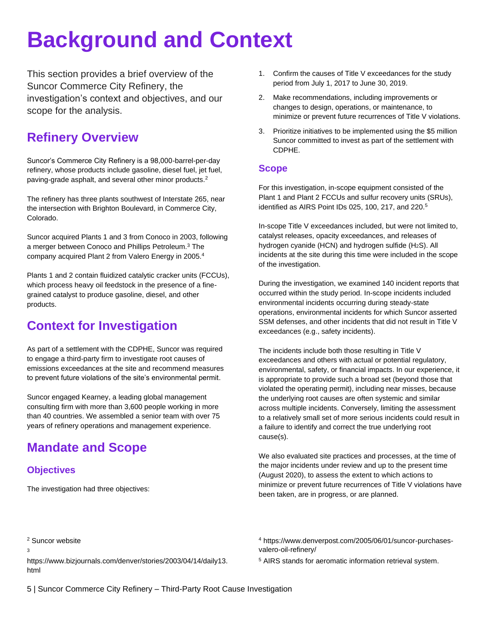# <span id="page-4-0"></span>**Background and Context**

This section provides a brief overview of the Suncor Commerce City Refinery, the investigation's context and objectives, and our scope for the analysis.

# <span id="page-4-1"></span>**Refinery Overview**

Suncor's Commerce City Refinery is a 98,000-barrel-per-day refinery, whose products include gasoline, diesel fuel, jet fuel, paving-grade asphalt, and several other minor products.<sup>2</sup>

The refinery has three plants southwest of Interstate 265, near the intersection with Brighton Boulevard, in Commerce City, Colorado.

Suncor acquired Plants 1 and 3 from Conoco in 2003, following a merger between Conoco and Phillips Petroleum.<sup>3</sup> The company acquired Plant 2 from Valero Energy in 2005.<sup>4</sup>

Plants 1 and 2 contain fluidized catalytic cracker units (FCCUs), which process heavy oil feedstock in the presence of a finegrained catalyst to produce gasoline, diesel, and other products.

# <span id="page-4-2"></span>**Context for Investigation**

As part of a settlement with the CDPHE, Suncor was required to engage a third-party firm to investigate root causes of emissions exceedances at the site and recommend measures to prevent future violations of the site's environmental permit.

Suncor engaged Kearney, a leading global management consulting firm with more than 3,600 people working in more than 40 countries. We assembled a senior team with over 75 years of refinery operations and management experience.

# <span id="page-4-3"></span>**Mandate and Scope**

## **Objectives**

The investigation had three objectives:

- 1. Confirm the causes of Title V exceedances for the study period from July 1, 2017 to June 30, 2019.
- 2. Make recommendations, including improvements or changes to design, operations, or maintenance, to minimize or prevent future recurrences of Title V violations.
- 3. Prioritize initiatives to be implemented using the \$5 million Suncor committed to invest as part of the settlement with CDPHE.

## **Scope**

For this investigation, in-scope equipment consisted of the Plant 1 and Plant 2 FCCUs and sulfur recovery units (SRUs), identified as AIRS Point IDs 025, 100, 217, and 220.<sup>5</sup>

In-scope Title V exceedances included, but were not limited to, catalyst releases, opacity exceedances, and releases of hydrogen cyanide (HCN) and hydrogen sulfide (H2S). All incidents at the site during this time were included in the scope of the investigation.

During the investigation, we examined 140 incident reports that occurred within the study period. In-scope incidents included environmental incidents occurring during steady-state operations, environmental incidents for which Suncor asserted SSM defenses, and other incidents that did not result in Title V exceedances (e.g., safety incidents).

The incidents include both those resulting in Title V exceedances and others with actual or potential regulatory, environmental, safety, or financial impacts. In our experience, it is appropriate to provide such a broad set (beyond those that violated the operating permit), including near misses, because the underlying root causes are often systemic and similar across multiple incidents. Conversely, limiting the assessment to a relatively small set of more serious incidents could result in a failure to identify and correct the true underlying root cause(s).

We also evaluated site practices and processes, at the time of the major incidents under review and up to the present time (August 2020), to assess the extent to which actions to minimize or prevent future recurrences of Title V violations have been taken, are in progress, or are planned.

https://www.bizjournals.com/denver/stories/2003/04/14/daily13. html

<sup>4</sup> https://www.denverpost.com/2005/06/01/suncor-purchasesvalero-oil-refinery/

<sup>5</sup> AIRS stands for aeromatic information retrieval system.

5 | Suncor Commerce City Refinery – Third-Party Root Cause Investigation

<sup>2</sup> Suncor website

<sup>3</sup>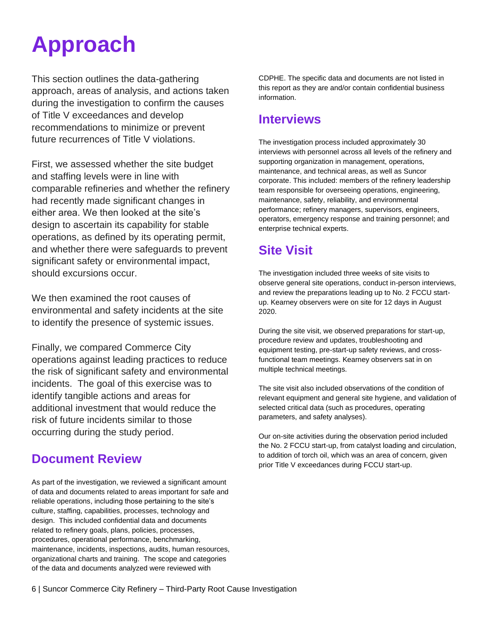# <span id="page-5-0"></span>**Approach**

This section outlines the data-gathering approach, areas of analysis, and actions taken during the investigation to confirm the causes of Title V exceedances and develop recommendations to minimize or prevent future recurrences of Title V violations.

First, we assessed whether the site budget and staffing levels were in line with comparable refineries and whether the refinery had recently made significant changes in either area. We then looked at the site's design to ascertain its capability for stable operations, as defined by its operating permit, and whether there were safeguards to prevent significant safety or environmental impact, should excursions occur.

We then examined the root causes of environmental and safety incidents at the site to identify the presence of systemic issues.

Finally, we compared Commerce City operations against leading practices to reduce the risk of significant safety and environmental incidents. The goal of this exercise was to identify tangible actions and areas for additional investment that would reduce the risk of future incidents similar to those occurring during the study period.

# <span id="page-5-1"></span>**Document Review**

As part of the investigation, we reviewed a significant amount of data and documents related to areas important for safe and reliable operations, including those pertaining to the site's culture, staffing, capabilities, processes, technology and design. This included confidential data and documents related to refinery goals, plans, policies, processes, procedures, operational performance, benchmarking, maintenance, incidents, inspections, audits, human resources, organizational charts and training. The scope and categories of the data and documents analyzed were reviewed with

CDPHE. The specific data and documents are not listed in this report as they are and/or contain confidential business information.

## <span id="page-5-2"></span>**Interviews**

The investigation process included approximately 30 interviews with personnel across all levels of the refinery and supporting organization in management, operations, maintenance, and technical areas, as well as Suncor corporate. This included: members of the refinery leadership team responsible for overseeing operations, engineering, maintenance, safety, reliability, and environmental performance; refinery managers, supervisors, engineers, operators, emergency response and training personnel; and enterprise technical experts.

# <span id="page-5-3"></span>**Site Visit**

The investigation included three weeks of site visits to observe general site operations, conduct in-person interviews, and review the preparations leading up to No. 2 FCCU startup. Kearney observers were on site for 12 days in August 2020.

During the site visit, we observed preparations for start-up, procedure review and updates, troubleshooting and equipment testing, pre-start-up safety reviews, and crossfunctional team meetings. Kearney observers sat in on multiple technical meetings.

The site visit also included observations of the condition of relevant equipment and general site hygiene, and validation of selected critical data (such as procedures, operating parameters, and safety analyses).

Our on-site activities during the observation period included the No. 2 FCCU start-up, from catalyst loading and circulation, to addition of torch oil, which was an area of concern, given prior Title V exceedances during FCCU start-up.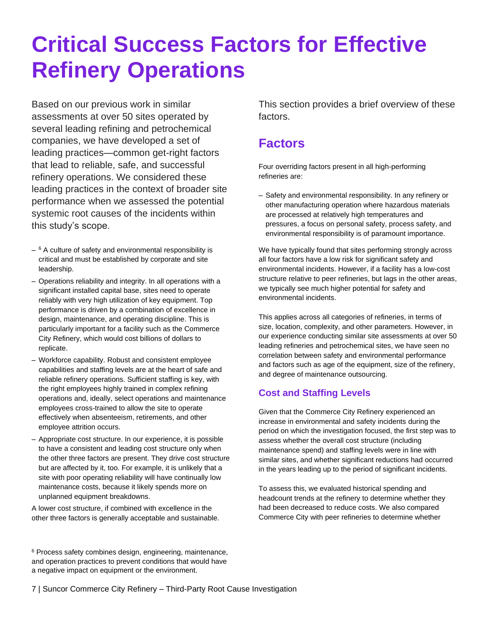# <span id="page-6-0"></span>**Critical Success Factors for Effective Refinery Operations**

Based on our previous work in similar assessments at over 50 sites operated by several leading refining and petrochemical companies, we have developed a set of leading practices—common get-right factors that lead to reliable, safe, and successful refinery operations. We considered these leading practices in the context of broader site performance when we assessed the potential systemic root causes of the incidents within this study's scope.

- $-$  <sup>6</sup> A culture of safety and environmental responsibility is critical and must be established by corporate and site leadership.
- Operations reliability and integrity. In all operations with a significant installed capital base, sites need to operate reliably with very high utilization of key equipment. Top performance is driven by a combination of excellence in design, maintenance, and operating discipline. This is particularly important for a facility such as the Commerce City Refinery, which would cost billions of dollars to replicate.
- Workforce capability. Robust and consistent employee capabilities and staffing levels are at the heart of safe and reliable refinery operations. Sufficient staffing is key, with the right employees highly trained in complex refining operations and, ideally, select operations and maintenance employees cross-trained to allow the site to operate effectively when absenteeism, retirements, and other employee attrition occurs.
- Appropriate cost structure. In our experience, it is possible to have a consistent and leading cost structure only when the other three factors are present. They drive cost structure but are affected by it, too. For example, it is unlikely that a site with poor operating reliability will have continually low maintenance costs, because it likely spends more on unplanned equipment breakdowns.

A lower cost structure, if combined with excellence in the other three factors is generally acceptable and sustainable.

<sup>6</sup> Process safety combines design, engineering, maintenance, and operation practices to prevent conditions that would have a negative impact on equipment or the environment.

This section provides a brief overview of these factors.

## <span id="page-6-1"></span>**Factors**

Four overriding factors present in all high-performing refineries are:

– Safety and environmental responsibility. In any refinery or other manufacturing operation where hazardous materials are processed at relatively high temperatures and pressures, a focus on personal safety, process safety, and environmental responsibility is of paramount importance.

We have typically found that sites performing strongly across all four factors have a low risk for significant safety and environmental incidents. However, if a facility has a low-cost structure relative to peer refineries, but lags in the other areas, we typically see much higher potential for safety and environmental incidents.

This applies across all categories of refineries, in terms of size, location, complexity, and other parameters. However, in our experience conducting similar site assessments at over 50 leading refineries and petrochemical sites, we have seen no correlation between safety and environmental performance and factors such as age of the equipment, size of the refinery, and degree of maintenance outsourcing.

## **Cost and Staffing Levels**

Given that the Commerce City Refinery experienced an increase in environmental and safety incidents during the period on which the investigation focused, the first step was to assess whether the overall cost structure (including maintenance spend) and staffing levels were in line with similar sites, and whether significant reductions had occurred in the years leading up to the period of significant incidents.

To assess this, we evaluated historical spending and headcount trends at the refinery to determine whether they had been decreased to reduce costs. We also compared Commerce City with peer refineries to determine whether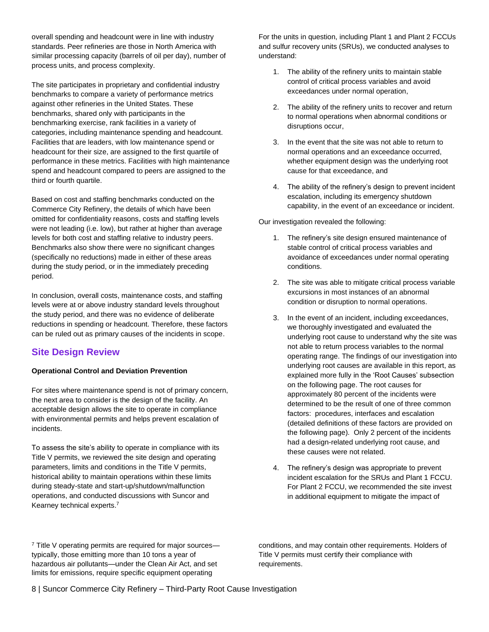overall spending and headcount were in line with industry standards. Peer refineries are those in North America with similar processing capacity (barrels of oil per day), number of process units, and process complexity.

The site participates in proprietary and confidential industry benchmarks to compare a variety of performance metrics against other refineries in the United States. These benchmarks, shared only with participants in the benchmarking exercise, rank facilities in a variety of categories, including maintenance spending and headcount. Facilities that are leaders, with low maintenance spend or headcount for their size, are assigned to the first quartile of performance in these metrics. Facilities with high maintenance spend and headcount compared to peers are assigned to the third or fourth quartile.

Based on cost and staffing benchmarks conducted on the Commerce City Refinery, the details of which have been omitted for confidentiality reasons, costs and staffing levels were not leading (i.e. low), but rather at higher than average levels for both cost and staffing relative to industry peers. Benchmarks also show there were no significant changes (specifically no reductions) made in either of these areas during the study period, or in the immediately preceding period.

In conclusion, overall costs, maintenance costs, and staffing levels were at or above industry standard levels throughout the study period, and there was no evidence of deliberate reductions in spending or headcount. Therefore, these factors can be ruled out as primary causes of the incidents in scope.

## **Site Design Review**

## **Operational Control and Deviation Prevention**

For sites where maintenance spend is not of primary concern, the next area to consider is the design of the facility. An acceptable design allows the site to operate in compliance with environmental permits and helps prevent escalation of incidents.

To assess the site's ability to operate in compliance with its Title V permits, we reviewed the site design and operating parameters, limits and conditions in the Title V permits, historical ability to maintain operations within these limits during steady-state and start-up/shutdown/malfunction operations, and conducted discussions with Suncor and Kearney technical experts. 7

For the units in question, including Plant 1 and Plant 2 FCCUs and sulfur recovery units (SRUs), we conducted analyses to understand:

- 1. The ability of the refinery units to maintain stable control of critical process variables and avoid exceedances under normal operation,
- 2. The ability of the refinery units to recover and return to normal operations when abnormal conditions or disruptions occur,
- 3. In the event that the site was not able to return to normal operations and an exceedance occurred, whether equipment design was the underlying root cause for that exceedance, and
- 4. The ability of the refinery's design to prevent incident escalation, including its emergency shutdown capability, in the event of an exceedance or incident.

Our investigation revealed the following:

- 1. The refinery's site design ensured maintenance of stable control of critical process variables and avoidance of exceedances under normal operating conditions.
- 2. The site was able to mitigate critical process variable excursions in most instances of an abnormal condition or disruption to normal operations.
- 3. In the event of an incident, including exceedances, we thoroughly investigated and evaluated the underlying root cause to understand why the site was not able to return process variables to the normal operating range. The findings of our investigation into underlying root causes are available in this report, as explained more fully in the 'Root Causes' subsection on the following page. The root causes for approximately 80 percent of the incidents were determined to be the result of one of three common factors: procedures, interfaces and escalation (detailed definitions of these factors are provided on the following page). Only 2 percent of the incidents had a design-related underlying root cause, and these causes were not related.
- 4. The refinery's design was appropriate to prevent incident escalation for the SRUs and Plant 1 FCCU. For Plant 2 FCCU, we recommended the site invest in additional equipment to mitigate the impact of

 $7$  Title V operating permits are required for major sources typically, those emitting more than 10 tons a year of hazardous air pollutants—under the Clean Air Act, and set limits for emissions, require specific equipment operating

conditions, and may contain other requirements. Holders of Title V permits must certify their compliance with requirements.

8 | Suncor Commerce City Refinery – Third-Party Root Cause Investigation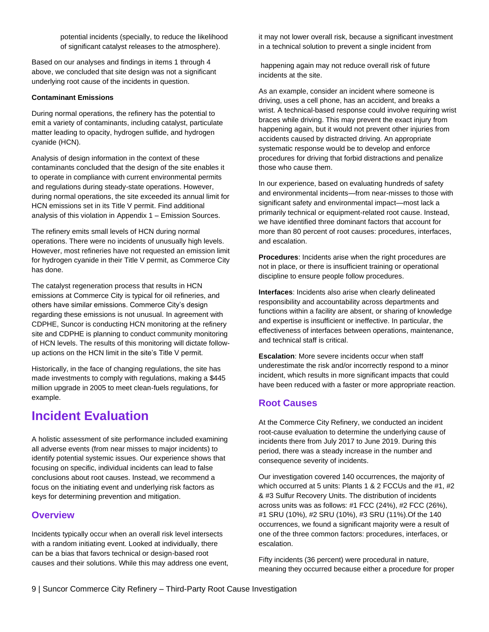potential incidents (specially, to reduce the likelihood of significant catalyst releases to the atmosphere).

Based on our analyses and findings in items 1 through 4 above, we concluded that site design was not a significant underlying root cause of the incidents in question.

#### **Contaminant Emissions**

During normal operations, the refinery has the potential to emit a variety of contaminants, including catalyst, particulate matter leading to opacity, hydrogen sulfide, and hydrogen cyanide (HCN).

Analysis of design information in the context of these contaminants concluded that the design of the site enables it to operate in compliance with current environmental permits and regulations during steady-state operations. However, during normal operations, the site exceeded its annual limit for HCN emissions set in its Title V permit. Find additional analysis of this violation in [Appendix 1](#page-31-0) – Emission Sources.

The refinery emits small levels of HCN during normal operations. There were no incidents of unusually high levels. However, most refineries have not requested an emission limit for hydrogen cyanide in their Title V permit, as Commerce City has done.

The catalyst regeneration process that results in HCN emissions at Commerce City is typical for oil refineries, and others have similar emissions. Commerce City's design regarding these emissions is not unusual. In agreement with CDPHE, Suncor is conducting HCN monitoring at the refinery site and CDPHE is planning to conduct community monitoring of HCN levels. The results of this monitoring will dictate followup actions on the HCN limit in the site's Title V permit.

Historically, in the face of changing regulations, the site has made investments to comply with regulations, making a \$445 million upgrade in 2005 to meet clean-fuels regulations, for example.

## <span id="page-8-0"></span>**Incident Evaluation**

A holistic assessment of site performance included examining all adverse events (from near misses to major incidents) to identify potential systemic issues. Our experience shows that focusing on specific, individual incidents can lead to false conclusions about root causes. Instead, we recommend a focus on the initiating event and underlying risk factors as keys for determining prevention and mitigation.

## **Overview**

Incidents typically occur when an overall risk level intersects with a random initiating event. Looked at individually, there can be a bias that favors technical or design-based root causes and their solutions. While this may address one event, it may not lower overall risk, because a significant investment in a technical solution to prevent a single incident from

happening again may not reduce overall risk of future incidents at the site.

As an example, consider an incident where someone is driving, uses a cell phone, has an accident, and breaks a wrist. A technical-based response could involve requiring wrist braces while driving. This may prevent the exact injury from happening again, but it would not prevent other injuries from accidents caused by distracted driving. An appropriate systematic response would be to develop and enforce procedures for driving that forbid distractions and penalize those who cause them.

In our experience, based on evaluating hundreds of safety and environmental incidents—from near-misses to those with significant safety and environmental impact—most lack a primarily technical or equipment-related root cause. Instead, we have identified three dominant factors that account for more than 80 percent of root causes: procedures, interfaces, and escalation.

**Procedures**: Incidents arise when the right procedures are not in place, or there is insufficient training or operational discipline to ensure people follow procedures.

**Interfaces**: Incidents also arise when clearly delineated responsibility and accountability across departments and functions within a facility are absent, or sharing of knowledge and expertise is insufficient or ineffective. In particular, the effectiveness of interfaces between operations, maintenance, and technical staff is critical.

**Escalation**: More severe incidents occur when staff underestimate the risk and/or incorrectly respond to a minor incident, which results in more significant impacts that could have been reduced with a faster or more appropriate reaction.

## **Root Causes**

At the Commerce City Refinery, we conducted an incident root-cause evaluation to determine the underlying cause of incidents there from July 2017 to June 2019. During this period, there was a steady increase in the number and consequence severity of incidents.

Our investigation covered 140 occurrences, the majority of which occurred at 5 units: Plants 1 & 2 FCCUs and the #1, #2 & #3 Sulfur Recovery Units. The distribution of incidents across units was as follows: #1 FCC (24%), #2 FCC (26%), #1 SRU (10%), #2 SRU (10%), #3 SRU (11%).Of the 140 occurrences, we found a significant majority were a result of one of the three common factors: procedures, interfaces, or escalation.

Fifty incidents (36 percent) were procedural in nature, meaning they occurred because either a procedure for proper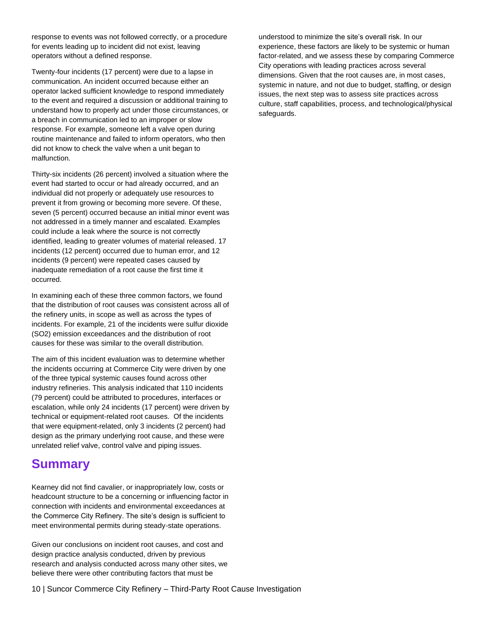response to events was not followed correctly, or a procedure for events leading up to incident did not exist, leaving operators without a defined response.

Twenty-four incidents (17 percent) were due to a lapse in communication. An incident occurred because either an operator lacked sufficient knowledge to respond immediately to the event and required a discussion or additional training to understand how to properly act under those circumstances, or a breach in communication led to an improper or slow response. For example, someone left a valve open during routine maintenance and failed to inform operators, who then did not know to check the valve when a unit began to malfunction.

Thirty-six incidents (26 percent) involved a situation where the event had started to occur or had already occurred, and an individual did not properly or adequately use resources to prevent it from growing or becoming more severe. Of these, seven (5 percent) occurred because an initial minor event was not addressed in a timely manner and escalated. Examples could include a leak where the source is not correctly identified, leading to greater volumes of material released. 17 incidents (12 percent) occurred due to human error, and 12 incidents (9 percent) were repeated cases caused by inadequate remediation of a root cause the first time it occurred.

In examining each of these three common factors, we found that the distribution of root causes was consistent across all of the refinery units, in scope as well as across the types of incidents. For example, 21 of the incidents were sulfur dioxide (SO2) emission exceedances and the distribution of root causes for these was similar to the overall distribution.

The aim of this incident evaluation was to determine whether the incidents occurring at Commerce City were driven by one of the three typical systemic causes found across other industry refineries. This analysis indicated that 110 incidents (79 percent) could be attributed to procedures, interfaces or escalation, while only 24 incidents (17 percent) were driven by technical or equipment-related root causes. Of the incidents that were equipment-related, only 3 incidents (2 percent) had design as the primary underlying root cause, and these were unrelated relief valve, control valve and piping issues.

## <span id="page-9-0"></span>**Summary**

Kearney did not find cavalier, or inappropriately low, costs or headcount structure to be a concerning or influencing factor in connection with incidents and environmental exceedances at the Commerce City Refinery. The site's design is sufficient to meet environmental permits during steady-state operations.

Given our conclusions on incident root causes, and cost and design practice analysis conducted, driven by previous research and analysis conducted across many other sites, we believe there were other contributing factors that must be

understood to minimize the site's overall risk. In our experience, these factors are likely to be systemic or human factor-related, and we assess these by comparing Commerce City operations with leading practices across several dimensions. Given that the root causes are, in most cases, systemic in nature, and not due to budget, staffing, or design issues, the next step was to assess site practices across culture, staff capabilities, process, and technological/physical safeguards.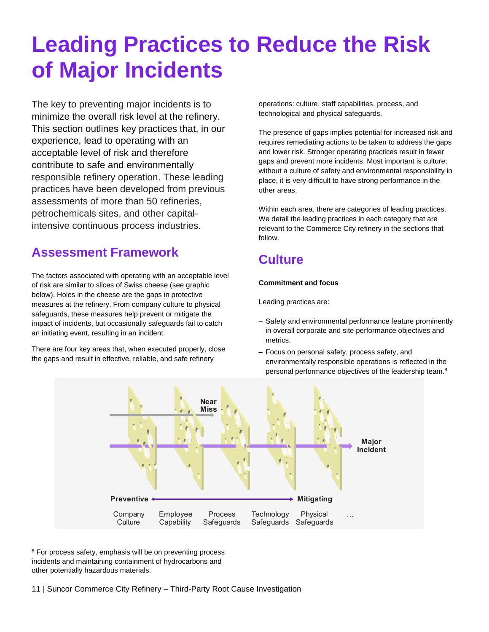# <span id="page-10-0"></span>**Leading Practices to Reduce the Risk of Major Incidents**

The key to preventing major incidents is to minimize the overall risk level at the refinery. This section outlines key practices that, in our experience, lead to operating with an acceptable level of risk and therefore contribute to safe and environmentally responsible refinery operation. These leading practices have been developed from previous assessments of more than 50 refineries, petrochemicals sites, and other capitalintensive continuous process industries.

# <span id="page-10-1"></span>**Assessment Framework**

The factors associated with operating with an acceptable level of risk are similar to slices of Swiss cheese (see graphic below). Holes in the cheese are the gaps in protective measures at the refinery. From company culture to physical safeguards, these measures help prevent or mitigate the impact of incidents, but occasionally safeguards fail to catch an initiating event, resulting in an incident.

There are four key areas that, when executed properly, close the gaps and result in effective, reliable, and safe refinery

operations: culture, staff capabilities, process, and technological and physical safeguards.

The presence of gaps implies potential for increased risk and requires remediating actions to be taken to address the gaps and lower risk. Stronger operating practices result in fewer gaps and prevent more incidents. Most important is culture; without a culture of safety and environmental responsibility in place, it is very difficult to have strong performance in the other areas.

Within each area, there are categories of leading practices. We detail the leading practices in each category that are relevant to the Commerce City refinery in the sections that follow.

# <span id="page-10-2"></span>**Culture**

## **Commitment and focus**

Leading practices are:

- Safety and environmental performance feature prominently in overall corporate and site performance objectives and metrics.
- Focus on personal safety, process safety, and environmentally responsible operations is reflected in the personal performance objectives of the leadership team.<sup>8</sup>



<sup>8</sup> For process safety, emphasis will be on preventing process incidents and maintaining containment of hydrocarbons and other potentially hazardous materials.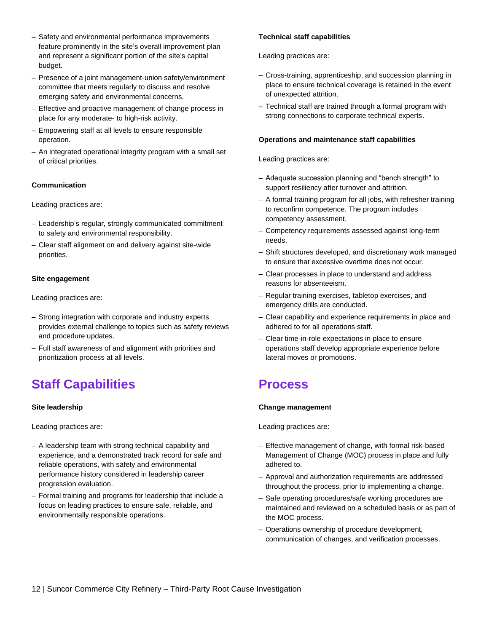- Safety and environmental performance improvements feature prominently in the site's overall improvement plan and represent a significant portion of the site's capital budget.
- Presence of a joint management-union safety/environment committee that meets regularly to discuss and resolve emerging safety and environmental concerns.
- Effective and proactive management of change process in place for any moderate- to high-risk activity.
- Empowering staff at all levels to ensure responsible operation.
- An integrated operational integrity program with a small set of critical priorities.

#### **Communication**

Leading practices are:

- Leadership's regular, strongly communicated commitment to safety and environmental responsibility.
- Clear staff alignment on and delivery against site-wide priorities.

## **Site engagement**

Leading practices are:

- Strong integration with corporate and industry experts provides external challenge to topics such as safety reviews and procedure updates.
- Full staff awareness of and alignment with priorities and prioritization process at all levels.

# <span id="page-11-0"></span>**Staff Capabilities**

#### **Site leadership**

Leading practices are:

- A leadership team with strong technical capability and experience, and a demonstrated track record for safe and reliable operations, with safety and environmental performance history considered in leadership career progression evaluation.
- Formal training and programs for leadership that include a focus on leading practices to ensure safe, reliable, and environmentally responsible operations.

#### **Technical staff capabilities**

Leading practices are:

- Cross-training, apprenticeship, and succession planning in place to ensure technical coverage is retained in the event of unexpected attrition.
- Technical staff are trained through a formal program with strong connections to corporate technical experts.

#### **Operations and maintenance staff capabilities**

Leading practices are:

- Adequate succession planning and "bench strength" to support resiliency after turnover and attrition.
- A formal training program for all jobs, with refresher training to reconfirm competence. The program includes competency assessment.
- Competency requirements assessed against long-term needs.
- Shift structures developed, and discretionary work managed to ensure that excessive overtime does not occur.
- Clear processes in place to understand and address reasons for absenteeism.
- Regular training exercises, tabletop exercises, and emergency drills are conducted.
- Clear capability and experience requirements in place and adhered to for all operations staff.
- Clear time-in-role expectations in place to ensure operations staff develop appropriate experience before lateral moves or promotions.

## <span id="page-11-1"></span>**Process**

#### **Change management**

Leading practices are:

- Effective management of change, with formal risk-based Management of Change (MOC) process in place and fully adhered to.
- Approval and authorization requirements are addressed throughout the process, prior to implementing a change.
- Safe operating procedures/safe working procedures are maintained and reviewed on a scheduled basis or as part of the MOC process.
- Operations ownership of procedure development, communication of changes, and verification processes.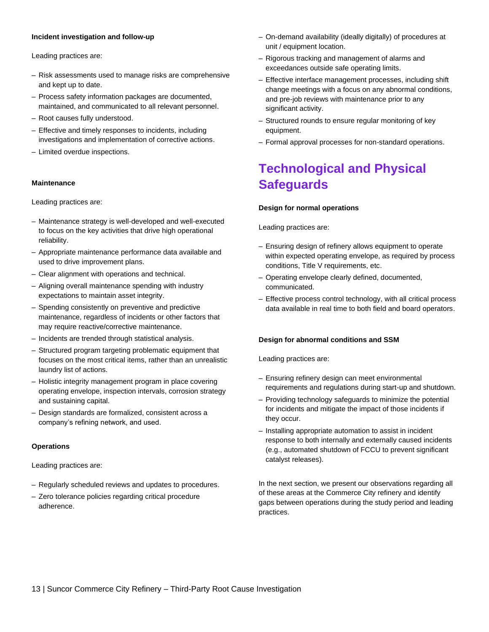#### **Incident investigation and follow-up**

Leading practices are:

- Risk assessments used to manage risks are comprehensive and kept up to date.
- Process safety information packages are documented, maintained, and communicated to all relevant personnel.
- Root causes fully understood.
- Effective and timely responses to incidents, including investigations and implementation of corrective actions.
- Limited overdue inspections.

#### **Maintenance**

Leading practices are:

- Maintenance strategy is well-developed and well-executed to focus on the key activities that drive high operational reliability.
- Appropriate maintenance performance data available and used to drive improvement plans.
- Clear alignment with operations and technical.
- Aligning overall maintenance spending with industry expectations to maintain asset integrity.
- Spending consistently on preventive and predictive maintenance, regardless of incidents or other factors that may require reactive/corrective maintenance.
- Incidents are trended through statistical analysis.
- Structured program targeting problematic equipment that focuses on the most critical items, rather than an unrealistic laundry list of actions.
- Holistic integrity management program in place covering operating envelope, inspection intervals, corrosion strategy and sustaining capital.
- Design standards are formalized, consistent across a company's refining network, and used.

## **Operations**

Leading practices are:

- Regularly scheduled reviews and updates to procedures.
- Zero tolerance policies regarding critical procedure adherence.
- On-demand availability (ideally digitally) of procedures at unit / equipment location.
- Rigorous tracking and management of alarms and exceedances outside safe operating limits.
- Effective interface management processes, including shift change meetings with a focus on any abnormal conditions, and pre-job reviews with maintenance prior to any significant activity.
- Structured rounds to ensure regular monitoring of key equipment.
- Formal approval processes for non-standard operations.

# <span id="page-12-0"></span>**Technological and Physical Safeguards**

## **Design for normal operations**

Leading practices are:

- Ensuring design of refinery allows equipment to operate within expected operating envelope, as required by process conditions, Title V requirements, etc.
- Operating envelope clearly defined, documented, communicated.
- Effective process control technology, with all critical process data available in real time to both field and board operators.

## **Design for abnormal conditions and SSM**

Leading practices are:

- Ensuring refinery design can meet environmental requirements and regulations during start-up and shutdown.
- Providing technology safeguards to minimize the potential for incidents and mitigate the impact of those incidents if they occur.
- Installing appropriate automation to assist in incident response to both internally and externally caused incidents (e.g., automated shutdown of FCCU to prevent significant catalyst releases).

In the next section, we present our observations regarding all of these areas at the Commerce City refinery and identify gaps between operations during the study period and leading practices.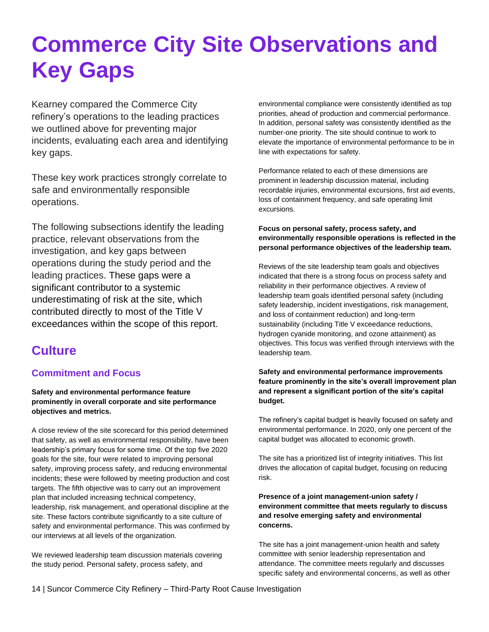# <span id="page-13-0"></span>**Commerce City Site Observations and Key Gaps**

Kearney compared the Commerce City refinery's operations to the leading practices we outlined above for preventing major incidents, evaluating each area and identifying key gaps.

These key work practices strongly correlate to safe and environmentally responsible operations.

The following subsections identify the leading practice, relevant observations from the investigation, and key gaps between operations during the study period and the leading practices. These gaps were a significant contributor to a systemic underestimating of risk at the site, which contributed directly to most of the Title V exceedances within the scope of this report.

## <span id="page-13-1"></span>**Culture**

## **Commitment and Focus**

## **Safety and environmental performance feature prominently in overall corporate and site performance objectives and metrics.**

A close review of the site scorecard for this period determined that safety, as well as environmental responsibility, have been leadership's primary focus for some time. Of the top five 2020 goals for the site, four were related to improving personal safety, improving process safety, and reducing environmental incidents; these were followed by meeting production and cost targets. The fifth objective was to carry out an improvement plan that included increasing technical competency, leadership, risk management, and operational discipline at the site. These factors contribute significantly to a site culture of safety and environmental performance. This was confirmed by our interviews at all levels of the organization.

We reviewed leadership team discussion materials covering the study period. Personal safety, process safety, and

environmental compliance were consistently identified as top priorities, ahead of production and commercial performance. In addition, personal safety was consistently identified as the number-one priority. The site should continue to work to elevate the importance of environmental performance to be in line with expectations for safety.

Performance related to each of these dimensions are prominent in leadership discussion material, including recordable injuries, environmental excursions, first aid events, loss of containment frequency, and safe operating limit excursions.

## **Focus on personal safety, process safety, and environmentally responsible operations is reflected in the personal performance objectives of the leadership team.**

Reviews of the site leadership team goals and objectives indicated that there is a strong focus on process safety and reliability in their performance objectives. A review of leadership team goals identified personal safety (including safety leadership, incident investigations, risk management, and loss of containment reduction) and long-term sustainability (including Title V exceedance reductions, hydrogen cyanide monitoring, and ozone attainment) as objectives. This focus was verified through interviews with the leadership team.

## **Safety and environmental performance improvements**  feature prominently in the site's overall improvement plan and represent a significant portion of the site's capital **budget.**

The refinery's capital budget is heavily focused on safety and environmental performance. In 2020, only one percent of the capital budget was allocated to economic growth.

The site has a prioritized list of integrity initiatives. This list drives the allocation of capital budget, focusing on reducing risk.

## **Presence of a joint management-union safety / environment committee that meets regularly to discuss and resolve emerging safety and environmental concerns.**

The site has a joint management-union health and safety committee with senior leadership representation and attendance. The committee meets regularly and discusses specific safety and environmental concerns, as well as other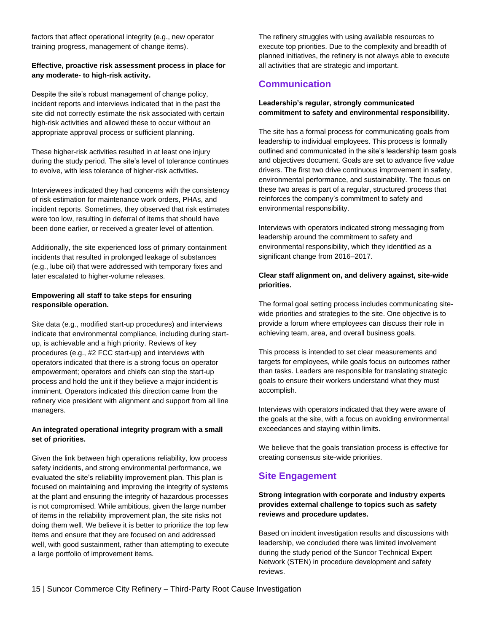factors that affect operational integrity (e.g., new operator training progress, management of change items).

#### **Effective, proactive risk assessment process in place for any moderate- to high-risk activity.**

Despite the site's robust management of change policy, incident reports and interviews indicated that in the past the site did not correctly estimate the risk associated with certain high-risk activities and allowed these to occur without an appropriate approval process or sufficient planning.

These higher-risk activities resulted in at least one injury during the study period. The site's level of tolerance continues to evolve, with less tolerance of higher-risk activities.

Interviewees indicated they had concerns with the consistency of risk estimation for maintenance work orders, PHAs, and incident reports. Sometimes, they observed that risk estimates were too low, resulting in deferral of items that should have been done earlier, or received a greater level of attention.

Additionally, the site experienced loss of primary containment incidents that resulted in prolonged leakage of substances (e.g., lube oil) that were addressed with temporary fixes and later escalated to higher-volume releases.

## **Empowering all staff to take steps for ensuring responsible operation.**

Site data (e.g., modified start-up procedures) and interviews indicate that environmental compliance, including during startup, is achievable and a high priority. Reviews of key procedures (e.g., #2 FCC start-up) and interviews with operators indicated that there is a strong focus on operator empowerment; operators and chiefs can stop the start-up process and hold the unit if they believe a major incident is imminent. Operators indicated this direction came from the refinery vice president with alignment and support from all line managers.

## **An integrated operational integrity program with a small set of priorities.**

Given the link between high operations reliability, low process safety incidents, and strong environmental performance, we evaluated the site's reliability improvement plan. This plan is focused on maintaining and improving the integrity of systems at the plant and ensuring the integrity of hazardous processes is not compromised. While ambitious, given the large number of items in the reliability improvement plan, the site risks not doing them well. We believe it is better to prioritize the top few items and ensure that they are focused on and addressed well, with good sustainment, rather than attempting to execute a large portfolio of improvement items.

The refinery struggles with using available resources to execute top priorities. Due to the complexity and breadth of planned initiatives, the refinery is not always able to execute all activities that are strategic and important.

## **Communication**

## **Leadership's regular, strongly communicated commitment to safety and environmental responsibility.**

The site has a formal process for communicating goals from leadership to individual employees. This process is formally outlined and communicated in the site's leadership team goals and objectives document. Goals are set to advance five value drivers. The first two drive continuous improvement in safety, environmental performance, and sustainability. The focus on these two areas is part of a regular, structured process that reinforces the company's commitment to safety and environmental responsibility.

Interviews with operators indicated strong messaging from leadership around the commitment to safety and environmental responsibility, which they identified as a significant change from 2016–2017.

## **Clear staff alignment on, and delivery against, site-wide priorities.**

The formal goal setting process includes communicating sitewide priorities and strategies to the site. One objective is to provide a forum where employees can discuss their role in achieving team, area, and overall business goals.

This process is intended to set clear measurements and targets for employees, while goals focus on outcomes rather than tasks. Leaders are responsible for translating strategic goals to ensure their workers understand what they must accomplish.

Interviews with operators indicated that they were aware of the goals at the site, with a focus on avoiding environmental exceedances and staying within limits.

We believe that the goals translation process is effective for creating consensus site-wide priorities.

## **Site Engagement**

## **Strong integration with corporate and industry experts provides external challenge to topics such as safety reviews and procedure updates.**

Based on incident investigation results and discussions with leadership, we concluded there was limited involvement during the study period of the Suncor Technical Expert Network (STEN) in procedure development and safety reviews.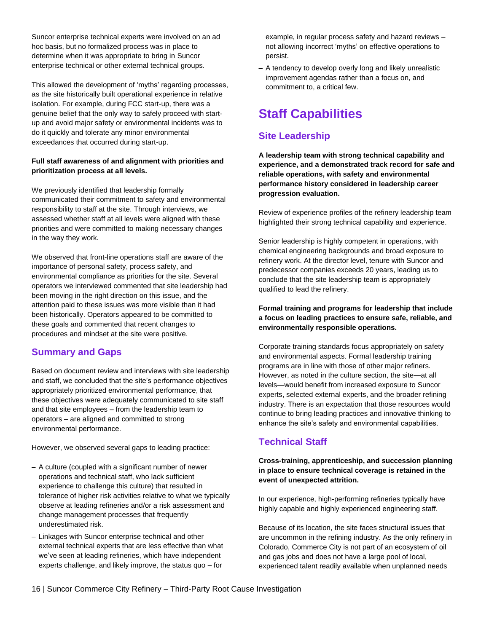Suncor enterprise technical experts were involved on an ad hoc basis, but no formalized process was in place to determine when it was appropriate to bring in Suncor enterprise technical or other external technical groups.

This allowed the development of 'myths' regarding processes, as the site historically built operational experience in relative isolation. For example, during FCC start-up, there was a genuine belief that the only way to safely proceed with startup and avoid major safety or environmental incidents was to do it quickly and tolerate any minor environmental exceedances that occurred during start-up.

## **Full staff awareness of and alignment with priorities and prioritization process at all levels.**

We previously identified that leadership formally communicated their commitment to safety and environmental responsibility to staff at the site. Through interviews, we assessed whether staff at all levels were aligned with these priorities and were committed to making necessary changes in the way they work.

We observed that front-line operations staff are aware of the importance of personal safety, process safety, and environmental compliance as priorities for the site. Several operators we interviewed commented that site leadership had been moving in the right direction on this issue, and the attention paid to these issues was more visible than it had been historically. Operators appeared to be committed to these goals and commented that recent changes to procedures and mindset at the site were positive.

## **Summary and Gaps**

Based on document review and interviews with site leadership and staff, we concluded that the site's performance objectives appropriately prioritized environmental performance, that these objectives were adequately communicated to site staff and that site employees – from the leadership team to operators – are aligned and committed to strong environmental performance.

However, we observed several gaps to leading practice:

- A culture (coupled with a significant number of newer operations and technical staff, who lack sufficient experience to challenge this culture) that resulted in tolerance of higher risk activities relative to what we typically observe at leading refineries and/or a risk assessment and change management processes that frequently underestimated risk.
- Linkages with Suncor enterprise technical and other external technical experts that are less effective than what we've seen at leading refineries, which have independent experts challenge, and likely improve, the status quo – for

example, in regular process safety and hazard reviews – not allowing incorrect 'myths' on effective operations to persist.

– A tendency to develop overly long and likely unrealistic improvement agendas rather than a focus on, and commitment to, a critical few.

# <span id="page-15-0"></span>**Staff Capabilities**

## **Site Leadership**

**A leadership team with strong technical capability and experience, and a demonstrated track record for safe and reliable operations, with safety and environmental performance history considered in leadership career progression evaluation.**

Review of experience profiles of the refinery leadership team highlighted their strong technical capability and experience.

Senior leadership is highly competent in operations, with chemical engineering backgrounds and broad exposure to refinery work. At the director level, tenure with Suncor and predecessor companies exceeds 20 years, leading us to conclude that the site leadership team is appropriately qualified to lead the refinery.

## **Formal training and programs for leadership that include a focus on leading practices to ensure safe, reliable, and environmentally responsible operations.**

Corporate training standards focus appropriately on safety and environmental aspects. Formal leadership training programs are in line with those of other major refiners. However, as noted in the culture section, the site—at all levels—would benefit from increased exposure to Suncor experts, selected external experts, and the broader refining industry. There is an expectation that those resources would continue to bring leading practices and innovative thinking to enhance the site's safety and environmental capabilities.

## **Technical Staff**

**Cross-training, apprenticeship, and succession planning in place to ensure technical coverage is retained in the event of unexpected attrition.**

In our experience, high-performing refineries typically have highly capable and highly experienced engineering staff.

Because of its location, the site faces structural issues that are uncommon in the refining industry. As the only refinery in Colorado, Commerce City is not part of an ecosystem of oil and gas jobs and does not have a large pool of local, experienced talent readily available when unplanned needs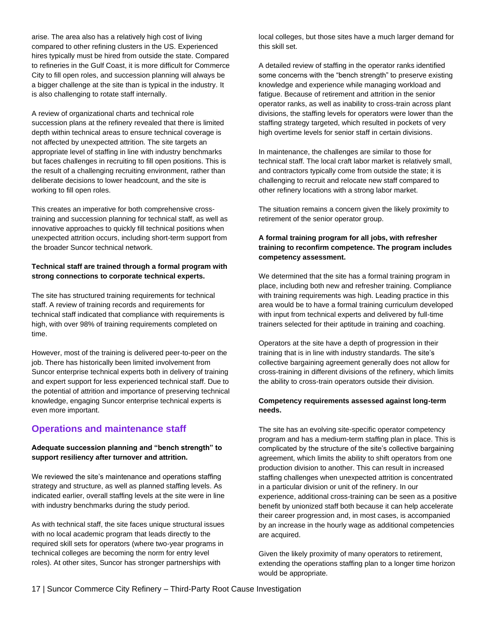arise. The area also has a relatively high cost of living compared to other refining clusters in the US. Experienced hires typically must be hired from outside the state. Compared to refineries in the Gulf Coast, it is more difficult for Commerce City to fill open roles, and succession planning will always be a bigger challenge at the site than is typical in the industry. It is also challenging to rotate staff internally.

A review of organizational charts and technical role succession plans at the refinery revealed that there is limited depth within technical areas to ensure technical coverage is not affected by unexpected attrition. The site targets an appropriate level of staffing in line with industry benchmarks but faces challenges in recruiting to fill open positions. This is the result of a challenging recruiting environment, rather than deliberate decisions to lower headcount, and the site is working to fill open roles.

This creates an imperative for both comprehensive crosstraining and succession planning for technical staff, as well as innovative approaches to quickly fill technical positions when unexpected attrition occurs, including short-term support from the broader Suncor technical network.

## **Technical staff are trained through a formal program with strong connections to corporate technical experts.**

The site has structured training requirements for technical staff. A review of training records and requirements for technical staff indicated that compliance with requirements is high, with over 98% of training requirements completed on time.

However, most of the training is delivered peer-to-peer on the job. There has historically been limited involvement from Suncor enterprise technical experts both in delivery of training and expert support for less experienced technical staff. Due to the potential of attrition and importance of preserving technical knowledge, engaging Suncor enterprise technical experts is even more important.

## **Operations and maintenance staff**

#### A dequate succession planning and "bench strength" to **support resiliency after turnover and attrition.**

We reviewed the site's maintenance and operations staffing strategy and structure, as well as planned staffing levels. As indicated earlier, overall staffing levels at the site were in line with industry benchmarks during the study period.

As with technical staff, the site faces unique structural issues with no local academic program that leads directly to the required skill sets for operators (where two-year programs in technical colleges are becoming the norm for entry level roles). At other sites, Suncor has stronger partnerships with

local colleges, but those sites have a much larger demand for this skill set.

A detailed review of staffing in the operator ranks identified some concerns with the "bench strength" to preserve existing knowledge and experience while managing workload and fatigue. Because of retirement and attrition in the senior operator ranks, as well as inability to cross-train across plant divisions, the staffing levels for operators were lower than the staffing strategy targeted, which resulted in pockets of very high overtime levels for senior staff in certain divisions.

In maintenance, the challenges are similar to those for technical staff. The local craft labor market is relatively small, and contractors typically come from outside the state; it is challenging to recruit and relocate new staff compared to other refinery locations with a strong labor market.

The situation remains a concern given the likely proximity to retirement of the senior operator group.

## **A formal training program for all jobs, with refresher training to reconfirm competence. The program includes competency assessment.**

We determined that the site has a formal training program in place, including both new and refresher training. Compliance with training requirements was high. Leading practice in this area would be to have a formal training curriculum developed with input from technical experts and delivered by full-time trainers selected for their aptitude in training and coaching.

Operators at the site have a depth of progression in their training that is in line with industry standards. The site's collective bargaining agreement generally does not allow for cross-training in different divisions of the refinery, which limits the ability to cross-train operators outside their division.

## **Competency requirements assessed against long-term needs.**

The site has an evolving site-specific operator competency program and has a medium-term staffing plan in place. This is complicated by the structure of the site's collective bargaining agreement, which limits the ability to shift operators from one production division to another. This can result in increased staffing challenges when unexpected attrition is concentrated in a particular division or unit of the refinery. In our experience, additional cross-training can be seen as a positive benefit by unionized staff both because it can help accelerate their career progression and, in most cases, is accompanied by an increase in the hourly wage as additional competencies are acquired.

Given the likely proximity of many operators to retirement, extending the operations staffing plan to a longer time horizon would be appropriate.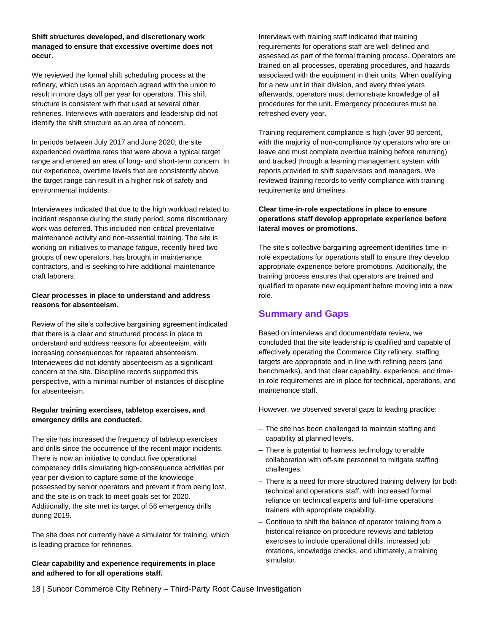#### **Shift structures developed, and discretionary work managed to ensure that excessive overtime does not occur.**

We reviewed the formal shift scheduling process at the refinery, which uses an approach agreed with the union to result in more days off per year for operators. This shift structure is consistent with that used at several other refineries. Interviews with operators and leadership did not identify the shift structure as an area of concern.

In periods between July 2017 and June 2020, the site experienced overtime rates that were above a typical target range and entered an area of long- and short-term concern. In our experience, overtime levels that are consistently above the target range can result in a higher risk of safety and environmental incidents.

Interviewees indicated that due to the high workload related to incident response during the study period, some discretionary work was deferred. This included non-critical preventative maintenance activity and non-essential training. The site is working on initiatives to manage fatigue, recently hired two groups of new operators, has brought in maintenance contractors, and is seeking to hire additional maintenance craft laborers.

## **Clear processes in place to understand and address reasons for absenteeism.**

Review of the site's collective bargaining agreement indicated that there is a clear and structured process in place to understand and address reasons for absenteeism, with increasing consequences for repeated absenteeism. Interviewees did not identify absenteeism as a significant concern at the site. Discipline records supported this perspective, with a minimal number of instances of discipline for absenteeism.

## **Regular training exercises, tabletop exercises, and emergency drills are conducted.**

The site has increased the frequency of tabletop exercises and drills since the occurrence of the recent major incidents. There is now an initiative to conduct five operational competency drills simulating high-consequence activities per year per division to capture some of the knowledge possessed by senior operators and prevent it from being lost, and the site is on track to meet goals set for 2020. Additionally, the site met its target of 56 emergency drills during 2019.

The site does not currently have a simulator for training, which is leading practice for refineries.

## **Clear capability and experience requirements in place and adhered to for all operations staff.**

Interviews with training staff indicated that training requirements for operations staff are well-defined and assessed as part of the formal training process. Operators are trained on all processes, operating procedures, and hazards associated with the equipment in their units. When qualifying for a new unit in their division, and every three years afterwards, operators must demonstrate knowledge of all procedures for the unit. Emergency procedures must be refreshed every year.

Training requirement compliance is high (over 90 percent, with the majority of non-compliance by operators who are on leave and must complete overdue training before returning) and tracked through a learning management system with reports provided to shift supervisors and managers. We reviewed training records to verify compliance with training requirements and timelines.

## **Clear time-in-role expectations in place to ensure operations staff develop appropriate experience before lateral moves or promotions.**

The site's collective bargaining agreement identifies time-inrole expectations for operations staff to ensure they develop appropriate experience before promotions. Additionally, the training process ensures that operators are trained and qualified to operate new equipment before moving into a new role.

## **Summary and Gaps**

Based on interviews and document/data review, we concluded that the site leadership is qualified and capable of effectively operating the Commerce City refinery, staffing targets are appropriate and in line with refining peers (and benchmarks), and that clear capability, experience, and timein-role requirements are in place for technical, operations, and maintenance staff.

However, we observed several gaps to leading practice:

- The site has been challenged to maintain staffing and capability at planned levels.
- There is potential to harness technology to enable collaboration with off-site personnel to mitigate staffing challenges.
- There is a need for more structured training delivery for both technical and operations staff, with increased formal reliance on technical experts and full-time operations trainers with appropriate capability.
- Continue to shift the balance of operator training from a historical reliance on procedure reviews and tabletop exercises to include operational drills, increased job rotations, knowledge checks, and ultimately, a training simulator.

18 | Suncor Commerce City Refinery – Third-Party Root Cause Investigation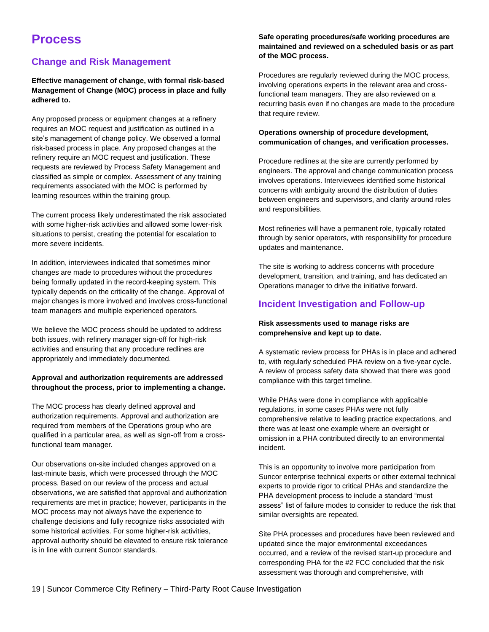## <span id="page-18-0"></span>**Process**

## **Change and Risk Management**

**Effective management of change, with formal risk-based Management of Change (MOC) process in place and fully adhered to.**

Any proposed process or equipment changes at a refinery requires an MOC request and justification as outlined in a site's management of change policy. We observed a formal risk-based process in place. Any proposed changes at the refinery require an MOC request and justification. These requests are reviewed by Process Safety Management and classified as simple or complex. Assessment of any training requirements associated with the MOC is performed by learning resources within the training group.

The current process likely underestimated the risk associated with some higher-risk activities and allowed some lower-risk situations to persist, creating the potential for escalation to more severe incidents.

In addition, interviewees indicated that sometimes minor changes are made to procedures without the procedures being formally updated in the record-keeping system. This typically depends on the criticality of the change. Approval of major changes is more involved and involves cross-functional team managers and multiple experienced operators.

We believe the MOC process should be updated to address both issues, with refinery manager sign-off for high-risk activities and ensuring that any procedure redlines are appropriately and immediately documented.

#### **Approval and authorization requirements are addressed throughout the process, prior to implementing a change.**

The MOC process has clearly defined approval and authorization requirements. Approval and authorization are required from members of the Operations group who are qualified in a particular area, as well as sign-off from a crossfunctional team manager.

Our observations on-site included changes approved on a last-minute basis, which were processed through the MOC process. Based on our review of the process and actual observations, we are satisfied that approval and authorization requirements are met in practice; however, participants in the MOC process may not always have the experience to challenge decisions and fully recognize risks associated with some historical activities. For some higher-risk activities, approval authority should be elevated to ensure risk tolerance is in line with current Suncor standards.

#### **Safe operating procedures/safe working procedures are maintained and reviewed on a scheduled basis or as part of the MOC process.**

Procedures are regularly reviewed during the MOC process, involving operations experts in the relevant area and crossfunctional team managers. They are also reviewed on a recurring basis even if no changes are made to the procedure that require review.

#### **Operations ownership of procedure development, communication of changes, and verification processes.**

Procedure redlines at the site are currently performed by engineers. The approval and change communication process involves operations. Interviewees identified some historical concerns with ambiguity around the distribution of duties between engineers and supervisors, and clarity around roles and responsibilities.

Most refineries will have a permanent role, typically rotated through by senior operators, with responsibility for procedure updates and maintenance.

The site is working to address concerns with procedure development, transition, and training, and has dedicated an Operations manager to drive the initiative forward.

## **Incident Investigation and Follow-up**

#### **Risk assessments used to manage risks are comprehensive and kept up to date.**

A systematic review process for PHAs is in place and adhered to, with regularly scheduled PHA review on a five-year cycle. A review of process safety data showed that there was good compliance with this target timeline.

While PHAs were done in compliance with applicable regulations, in some cases PHAs were not fully comprehensive relative to leading practice expectations, and there was at least one example where an oversight or omission in a PHA contributed directly to an environmental incident.

This is an opportunity to involve more participation from Suncor enterprise technical experts or other external technical experts to provide rigor to critical PHAs and standardize the PHA development process to include a standard "must assess" list of failure modes to consider to reduce the risk that similar oversights are repeated.

Site PHA processes and procedures have been reviewed and updated since the major environmental exceedances occurred, and a review of the revised start-up procedure and corresponding PHA for the #2 FCC concluded that the risk assessment was thorough and comprehensive, with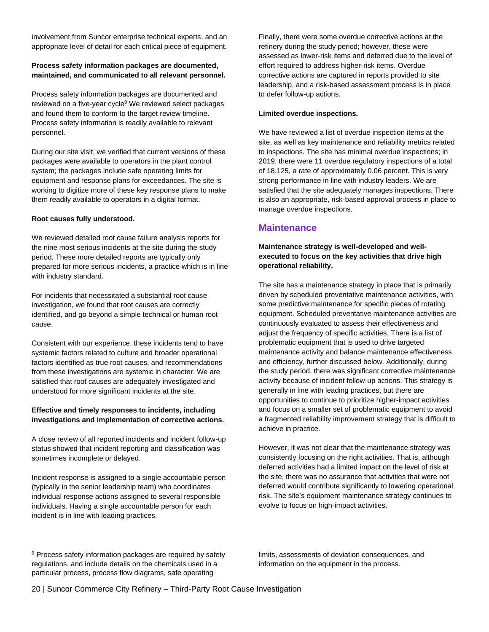involvement from Suncor enterprise technical experts, and an appropriate level of detail for each critical piece of equipment.

#### **Process safety information packages are documented, maintained, and communicated to all relevant personnel.**

Process safety information packages are documented and reviewed on a five-year cycle<sup>9</sup> We reviewed select packages and found them to conform to the target review timeline. Process safety information is readily available to relevant personnel.

During our site visit, we verified that current versions of these packages were available to operators in the plant control system; the packages include safe operating limits for equipment and response plans for exceedances. The site is working to digitize more of these key response plans to make them readily available to operators in a digital format.

#### **Root causes fully understood.**

We reviewed detailed root cause failure analysis reports for the nine most serious incidents at the site during the study period. These more detailed reports are typically only prepared for more serious incidents, a practice which is in line with industry standard.

For incidents that necessitated a substantial root cause investigation, we found that root causes are correctly identified, and go beyond a simple technical or human root cause.

Consistent with our experience, these incidents tend to have systemic factors related to culture and broader operational factors identified as true root causes, and recommendations from these investigations are systemic in character. We are satisfied that root causes are adequately investigated and understood for more significant incidents at the site.

#### **Effective and timely responses to incidents, including investigations and implementation of corrective actions.**

A close review of all reported incidents and incident follow-up status showed that incident reporting and classification was sometimes incomplete or delayed.

Incident response is assigned to a single accountable person (typically in the senior leadership team) who coordinates individual response actions assigned to several responsible individuals. Having a single accountable person for each incident is in line with leading practices.

Finally, there were some overdue corrective actions at the refinery during the study period; however, these were assessed as lower-risk items and deferred due to the level of effort required to address higher-risk items. Overdue corrective actions are captured in reports provided to site leadership, and a risk-based assessment process is in place to defer follow-up actions.

#### **Limited overdue inspections.**

We have reviewed a list of overdue inspection items at the site, as well as key maintenance and reliability metrics related to inspections. The site has minimal overdue inspections; in 2019, there were 11 overdue regulatory inspections of a total of 18,125, a rate of approximately 0.06 percent. This is very strong performance in line with industry leaders. We are satisfied that the site adequately manages inspections. There is also an appropriate, risk-based approval process in place to manage overdue inspections.

## **Maintenance**

**Maintenance strategy is well-developed and wellexecuted to focus on the key activities that drive high operational reliability.**

The site has a maintenance strategy in place that is primarily driven by scheduled preventative maintenance activities, with some predictive maintenance for specific pieces of rotating equipment. Scheduled preventative maintenance activities are continuously evaluated to assess their effectiveness and adjust the frequency of specific activities. There is a list of problematic equipment that is used to drive targeted maintenance activity and balance maintenance effectiveness and efficiency, further discussed below. Additionally, during the study period, there was significant corrective maintenance activity because of incident follow-up actions. This strategy is generally in line with leading practices, but there are opportunities to continue to prioritize higher-impact activities and focus on a smaller set of problematic equipment to avoid a fragmented reliability improvement strategy that is difficult to achieve in practice.

However, it was not clear that the maintenance strategy was consistently focusing on the right activities. That is, although deferred activities had a limited impact on the level of risk at the site, there was no assurance that activities that were not deferred would contribute significantly to lowering operational risk. The site's equipment maintenance strategy continues to evolve to focus on high-impact activities.

<sup>9</sup> Process safety information packages are required by safety regulations, and include details on the chemicals used in a particular process, process flow diagrams, safe operating

limits, assessments of deviation consequences, and information on the equipment in the process.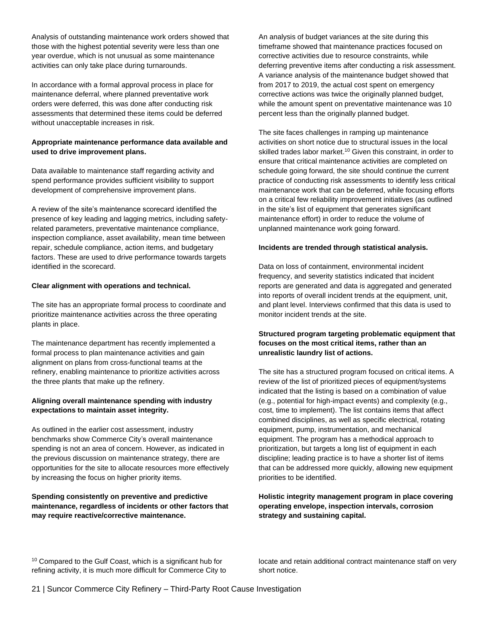Analysis of outstanding maintenance work orders showed that those with the highest potential severity were less than one year overdue, which is not unusual as some maintenance activities can only take place during turnarounds.

In accordance with a formal approval process in place for maintenance deferral, where planned preventative work orders were deferred, this was done after conducting risk assessments that determined these items could be deferred without unacceptable increases in risk.

## **Appropriate maintenance performance data available and used to drive improvement plans.**

Data available to maintenance staff regarding activity and spend performance provides sufficient visibility to support development of comprehensive improvement plans.

A review of the site's maintenance scorecard identified the presence of key leading and lagging metrics, including safetyrelated parameters, preventative maintenance compliance, inspection compliance, asset availability, mean time between repair, schedule compliance, action items, and budgetary factors. These are used to drive performance towards targets identified in the scorecard.

#### **Clear alignment with operations and technical.**

The site has an appropriate formal process to coordinate and prioritize maintenance activities across the three operating plants in place.

The maintenance department has recently implemented a formal process to plan maintenance activities and gain alignment on plans from cross-functional teams at the refinery, enabling maintenance to prioritize activities across the three plants that make up the refinery.

## **Aligning overall maintenance spending with industry expectations to maintain asset integrity.**

As outlined in the earlier cost assessment, industry benchmarks show Commerce City's overall maintenance spending is not an area of concern. However, as indicated in the previous discussion on maintenance strategy, there are opportunities for the site to allocate resources more effectively by increasing the focus on higher priority items.

## **Spending consistently on preventive and predictive maintenance, regardless of incidents or other factors that may require reactive/corrective maintenance.**

An analysis of budget variances at the site during this timeframe showed that maintenance practices focused on corrective activities due to resource constraints, while deferring preventive items after conducting a risk assessment. A variance analysis of the maintenance budget showed that from 2017 to 2019, the actual cost spent on emergency corrective actions was twice the originally planned budget, while the amount spent on preventative maintenance was 10 percent less than the originally planned budget.

The site faces challenges in ramping up maintenance activities on short notice due to structural issues in the local skilled trades labor market. <sup>10</sup> Given this constraint, in order to ensure that critical maintenance activities are completed on schedule going forward, the site should continue the current practice of conducting risk assessments to identify less critical maintenance work that can be deferred, while focusing efforts on a critical few reliability improvement initiatives (as outlined in the site's list of equipment that generates significant maintenance effort) in order to reduce the volume of unplanned maintenance work going forward.

#### **Incidents are trended through statistical analysis.**

Data on loss of containment, environmental incident frequency, and severity statistics indicated that incident reports are generated and data is aggregated and generated into reports of overall incident trends at the equipment, unit, and plant level. Interviews confirmed that this data is used to monitor incident trends at the site.

## **Structured program targeting problematic equipment that focuses on the most critical items, rather than an unrealistic laundry list of actions.**

The site has a structured program focused on critical items. A review of the list of prioritized pieces of equipment/systems indicated that the listing is based on a combination of value (e.g., potential for high-impact events) and complexity (e.g., cost, time to implement). The list contains items that affect combined disciplines, as well as specific electrical, rotating equipment, pump, instrumentation, and mechanical equipment. The program has a methodical approach to prioritization, but targets a long list of equipment in each discipline; leading practice is to have a shorter list of items that can be addressed more quickly, allowing new equipment priorities to be identified.

## **Holistic integrity management program in place covering operating envelope, inspection intervals, corrosion strategy and sustaining capital.**

<sup>10</sup> Compared to the Gulf Coast, which is a significant hub for refining activity, it is much more difficult for Commerce City to locate and retain additional contract maintenance staff on very short notice.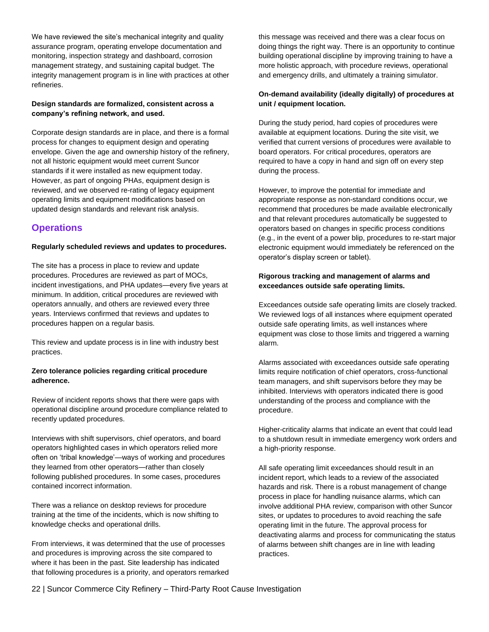We have reviewed the site's mechanical integrity and quality assurance program, operating envelope documentation and monitoring, inspection strategy and dashboard, corrosion management strategy, and sustaining capital budget. The integrity management program is in line with practices at other refineries.

## **Design standards are formalized, consistent across a**  company's refining network, and used.

Corporate design standards are in place, and there is a formal process for changes to equipment design and operating envelope. Given the age and ownership history of the refinery, not all historic equipment would meet current Suncor standards if it were installed as new equipment today. However, as part of ongoing PHAs, equipment design is reviewed, and we observed re-rating of legacy equipment operating limits and equipment modifications based on updated design standards and relevant risk analysis.

## <span id="page-21-0"></span>**Operations**

#### **Regularly scheduled reviews and updates to procedures.**

The site has a process in place to review and update procedures. Procedures are reviewed as part of MOCs, incident investigations, and PHA updates—every five years at minimum. In addition, critical procedures are reviewed with operators annually, and others are reviewed every three years. Interviews confirmed that reviews and updates to procedures happen on a regular basis.

This review and update process is in line with industry best practices.

#### **Zero tolerance policies regarding critical procedure adherence.**

Review of incident reports shows that there were gaps with operational discipline around procedure compliance related to recently updated procedures.

Interviews with shift supervisors, chief operators, and board operators highlighted cases in which operators relied more often on 'tribal knowledge'—ways of working and procedures they learned from other operators—rather than closely following published procedures. In some cases, procedures contained incorrect information.

There was a reliance on desktop reviews for procedure training at the time of the incidents, which is now shifting to knowledge checks and operational drills.

From interviews, it was determined that the use of processes and procedures is improving across the site compared to where it has been in the past. Site leadership has indicated that following procedures is a priority, and operators remarked this message was received and there was a clear focus on doing things the right way. There is an opportunity to continue building operational discipline by improving training to have a more holistic approach, with procedure reviews, operational and emergency drills, and ultimately a training simulator.

## **On-demand availability (ideally digitally) of procedures at unit / equipment location.**

During the study period, hard copies of procedures were available at equipment locations. During the site visit, we verified that current versions of procedures were available to board operators. For critical procedures, operators are required to have a copy in hand and sign off on every step during the process.

However, to improve the potential for immediate and appropriate response as non-standard conditions occur, we recommend that procedures be made available electronically and that relevant procedures automatically be suggested to operators based on changes in specific process conditions (e.g., in the event of a power blip, procedures to re-start major electronic equipment would immediately be referenced on the operator's display screen or tablet).

#### **Rigorous tracking and management of alarms and exceedances outside safe operating limits.**

Exceedances outside safe operating limits are closely tracked. We reviewed logs of all instances where equipment operated outside safe operating limits, as well instances where equipment was close to those limits and triggered a warning alarm.

Alarms associated with exceedances outside safe operating limits require notification of chief operators, cross-functional team managers, and shift supervisors before they may be inhibited. Interviews with operators indicated there is good understanding of the process and compliance with the procedure.

Higher-criticality alarms that indicate an event that could lead to a shutdown result in immediate emergency work orders and a high-priority response.

All safe operating limit exceedances should result in an incident report, which leads to a review of the associated hazards and risk. There is a robust management of change process in place for handling nuisance alarms, which can involve additional PHA review, comparison with other Suncor sites, or updates to procedures to avoid reaching the safe operating limit in the future. The approval process for deactivating alarms and process for communicating the status of alarms between shift changes are in line with leading practices.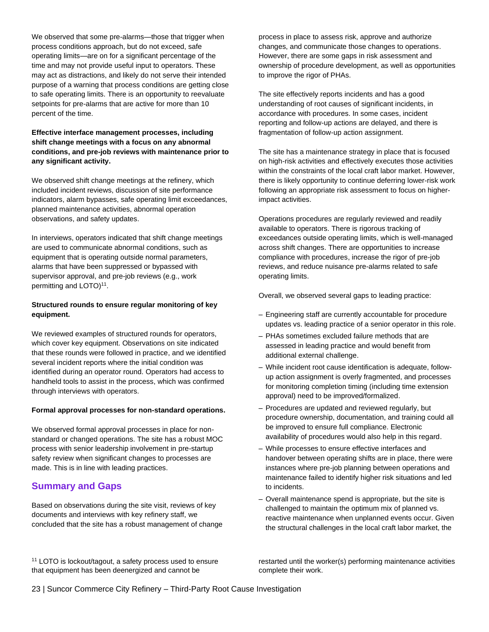We observed that some pre-alarms—those that trigger when process conditions approach, but do not exceed, safe operating limits—are on for a significant percentage of the time and may not provide useful input to operators. These may act as distractions, and likely do not serve their intended purpose of a warning that process conditions are getting close to safe operating limits. There is an opportunity to reevaluate setpoints for pre-alarms that are active for more than 10 percent of the time.

## **Effective interface management processes, including shift change meetings with a focus on any abnormal conditions, and pre-job reviews with maintenance prior to any significant activity.**

We observed shift change meetings at the refinery, which included incident reviews, discussion of site performance indicators, alarm bypasses, safe operating limit exceedances, planned maintenance activities, abnormal operation observations, and safety updates.

In interviews, operators indicated that shift change meetings are used to communicate abnormal conditions, such as equipment that is operating outside normal parameters, alarms that have been suppressed or bypassed with supervisor approval, and pre-job reviews (e.g., work permitting and LOTO)<sup>11</sup>.

## **Structured rounds to ensure regular monitoring of key equipment.**

We reviewed examples of structured rounds for operators, which cover key equipment. Observations on site indicated that these rounds were followed in practice, and we identified several incident reports where the initial condition was identified during an operator round. Operators had access to handheld tools to assist in the process, which was confirmed through interviews with operators.

## **Formal approval processes for non-standard operations.**

We observed formal approval processes in place for nonstandard or changed operations. The site has a robust MOC process with senior leadership involvement in pre-startup safety review when significant changes to processes are made. This is in line with leading practices.

## **Summary and Gaps**

Based on observations during the site visit, reviews of key documents and interviews with key refinery staff, we concluded that the site has a robust management of change

<sup>11</sup> LOTO is lockout/tagout, a safety process used to ensure that equipment has been deenergized and cannot be

process in place to assess risk, approve and authorize changes, and communicate those changes to operations. However, there are some gaps in risk assessment and ownership of procedure development, as well as opportunities to improve the rigor of PHAs.

The site effectively reports incidents and has a good understanding of root causes of significant incidents, in accordance with procedures. In some cases, incident reporting and follow-up actions are delayed, and there is fragmentation of follow-up action assignment.

The site has a maintenance strategy in place that is focused on high-risk activities and effectively executes those activities within the constraints of the local craft labor market. However, there is likely opportunity to continue deferring lower-risk work following an appropriate risk assessment to focus on higherimpact activities.

Operations procedures are regularly reviewed and readily available to operators. There is rigorous tracking of exceedances outside operating limits, which is well-managed across shift changes. There are opportunities to increase compliance with procedures, increase the rigor of pre-job reviews, and reduce nuisance pre-alarms related to safe operating limits.

Overall, we observed several gaps to leading practice:

- Engineering staff are currently accountable for procedure updates vs. leading practice of a senior operator in this role.
- PHAs sometimes excluded failure methods that are assessed in leading practice and would benefit from additional external challenge.
- While incident root cause identification is adequate, followup action assignment is overly fragmented, and processes for monitoring completion timing (including time extension approval) need to be improved/formalized.
- Procedures are updated and reviewed regularly, but procedure ownership, documentation, and training could all be improved to ensure full compliance. Electronic availability of procedures would also help in this regard.
- While processes to ensure effective interfaces and handover between operating shifts are in place, there were instances where pre-job planning between operations and maintenance failed to identify higher risk situations and led to incidents.
- Overall maintenance spend is appropriate, but the site is challenged to maintain the optimum mix of planned vs. reactive maintenance when unplanned events occur. Given the structural challenges in the local craft labor market, the

restarted until the worker(s) performing maintenance activities complete their work.

23 | Suncor Commerce City Refinery – Third-Party Root Cause Investigation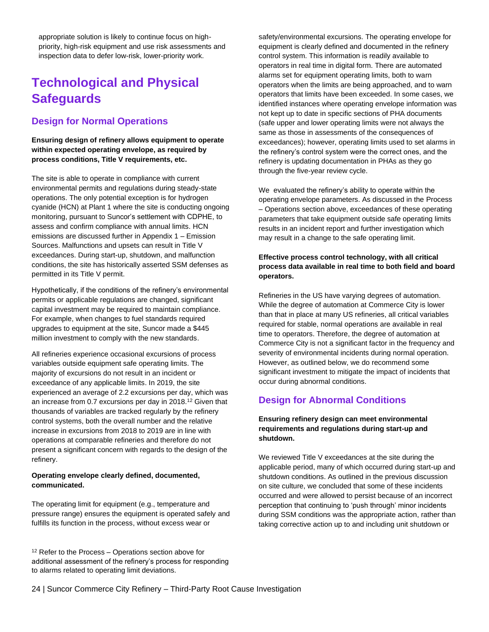appropriate solution is likely to continue focus on highpriority, high-risk equipment and use risk assessments and inspection data to defer low-risk, lower-priority work.

# <span id="page-23-0"></span>**Technological and Physical Safeguards**

## **Design for Normal Operations**

**Ensuring design of refinery allows equipment to operate within expected operating envelope, as required by process conditions, Title V requirements, etc.**

The site is able to operate in compliance with current environmental permits and regulations during steady-state operations. The only potential exception is for hydrogen cyanide (HCN) at Plant 1 where the site is conducting ongoing monitoring, pursuant to Suncor's settlement with CDPHE, to assess and confirm compliance with annual limits. HCN emissions are discussed further in [Appendix 1](#page-31-0) – Emission [Sources.](#page-31-0) Malfunctions and upsets can result in Title V exceedances. During start-up, shutdown, and malfunction conditions, the site has historically asserted SSM defenses as permitted in its Title V permit.

Hypothetically, if the conditions of the refinery's environmental permits or applicable regulations are changed, significant capital investment may be required to maintain compliance. For example, when changes to fuel standards required upgrades to equipment at the site, Suncor made a \$445 million investment to comply with the new standards.

All refineries experience occasional excursions of process variables outside equipment safe operating limits. The majority of excursions do not result in an incident or exceedance of any applicable limits. In 2019, the site experienced an average of 2.2 excursions per day, which was an increase from 0.7 excursions per day in 2018.<sup>12</sup> Given that thousands of variables are tracked regularly by the refinery control systems, both the overall number and the relative increase in excursions from 2018 to 2019 are in line with operations at comparable refineries and therefore do not present a significant concern with regards to the design of the refinery.

#### **Operating envelope clearly defined, documented, communicated.**

The operating limit for equipment (e.g., temperature and pressure range) ensures the equipment is operated safely and fulfills its function in the process, without excess wear or

<sup>12</sup> Refer to th[e Process](#page-18-0) – [Operations](#page-21-0) section above for additional assessment of the refinery's process for responding to alarms related to operating limit deviations.

safety/environmental excursions. The operating envelope for equipment is clearly defined and documented in the refinery control system. This information is readily available to operators in real time in digital form. There are automated alarms set for equipment operating limits, both to warn operators when the limits are being approached, and to warn operators that limits have been exceeded. In some cases, we identified instances where operating envelope information was not kept up to date in specific sections of PHA documents (safe upper and lower operating limits were not always the same as those in assessments of the consequences of exceedances); however, operating limits used to set alarms in the refinery's control system were the correct ones, and the refinery is updating documentation in PHAs as they go through the five-year review cycle.

We evaluated the refinery's ability to operate within the operating envelope parameters. As discussed in th[e Process](#page-18-0) – [Operations](#page-21-0) section above, exceedances of these operating parameters that take equipment outside safe operating limits results in an incident report and further investigation which may result in a change to the safe operating limit.

## **Effective process control technology, with all critical process data available in real time to both field and board operators.**

Refineries in the US have varying degrees of automation. While the degree of automation at Commerce City is lower than that in place at many US refineries, all critical variables required for stable, normal operations are available in real time to operators. Therefore, the degree of automation at Commerce City is not a significant factor in the frequency and severity of environmental incidents during normal operation. However, as outlined below, we do recommend some significant investment to mitigate the impact of incidents that occur during abnormal conditions.

## **Design for Abnormal Conditions**

## **Ensuring refinery design can meet environmental requirements and regulations during start-up and shutdown.**

We reviewed Title V exceedances at the site during the applicable period, many of which occurred during start-up and shutdown conditions. As outlined in the previous discussion on site culture, we concluded that some of these incidents occurred and were allowed to persist because of an incorrect perception that continuing to 'push through' minor incidents during SSM conditions was the appropriate action, rather than taking corrective action up to and including unit shutdown or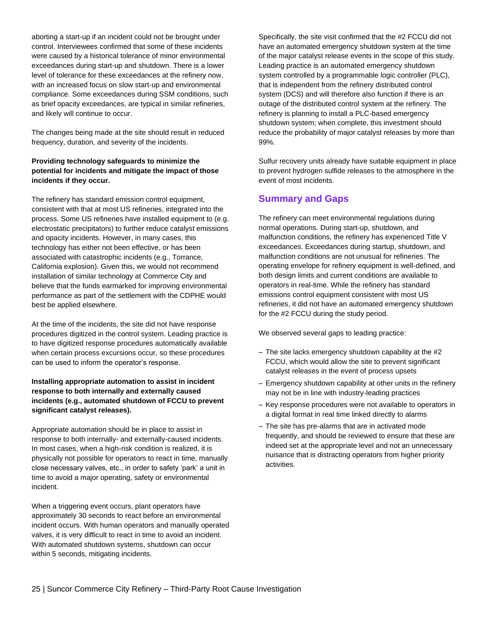aborting a start-up if an incident could not be brought under control. Interviewees confirmed that some of these incidents were caused by a historical tolerance of minor environmental exceedances during start-up and shutdown. There is a lower level of tolerance for these exceedances at the refinery now, with an increased focus on slow start-up and environmental compliance. Some exceedances during SSM conditions, such as brief opacity exceedances, are typical in similar refineries, and likely will continue to occur.

The changes being made at the site should result in reduced frequency, duration, and severity of the incidents.

## **Providing technology safeguards to minimize the potential for incidents and mitigate the impact of those incidents if they occur.**

The refinery has standard emission control equipment, consistent with that at most US refineries, integrated into the process. Some US refineries have installed equipment to (e.g. electrostatic precipitators) to further reduce catalyst emissions and opacity incidents. However, in many cases, this technology has either not been effective, or has been associated with catastrophic incidents (e.g., Torrance, California explosion). Given this, we would not recommend installation of similar technology at Commerce City and believe that the funds earmarked for improving environmental performance as part of the settlement with the CDPHE would best be applied elsewhere.

At the time of the incidents, the site did not have response procedures digitized in the control system. Leading practice is to have digitized response procedures automatically available when certain process excursions occur, so these procedures can be used to inform the operator's response.

## **Installing appropriate automation to assist in incident response to both internally and externally caused incidents (e.g., automated shutdown of FCCU to prevent significant catalyst releases).**

Appropriate automation should be in place to assist in response to both internally- and externally-caused incidents. In most cases, when a high-risk condition is realized, it is physically not possible for operators to react in time, manually close necessary valves, etc., in order to safety 'park' a unit in time to avoid a major operating, safety or environmental incident.

When a triggering event occurs, plant operators have approximately 30 seconds to react before an environmental incident occurs. With human operators and manually operated valves, it is very difficult to react in time to avoid an incident. With automated shutdown systems, shutdown can occur within 5 seconds, mitigating incidents.

Specifically, the site visit confirmed that the #2 FCCU did not have an automated emergency shutdown system at the time of the major catalyst release events in the scope of this study. Leading practice is an automated emergency shutdown system controlled by a programmable logic controller (PLC), that is independent from the refinery distributed control system (DCS) and will therefore also function if there is an outage of the distributed control system at the refinery. The refinery is planning to install a PLC-based emergency shutdown system; when complete, this investment should reduce the probability of major catalyst releases by more than 99%.

Sulfur recovery units already have suitable equipment in place to prevent hydrogen sulfide releases to the atmosphere in the event of most incidents.

## **Summary and Gaps**

The refinery can meet environmental regulations during normal operations. During start-up, shutdown, and malfunction conditions, the refinery has experienced Title V exceedances. Exceedances during startup, shutdown, and malfunction conditions are not unusual for refineries. The operating envelope for refinery equipment is well-defined, and both design limits and current conditions are available to operators in real-time. While the refinery has standard emissions control equipment consistent with most US refineries, it did not have an automated emergency shutdown for the #2 FCCU during the study period.

We observed several gaps to leading practice:

- The site lacks emergency shutdown capability at the #2 FCCU, which would allow the site to prevent significant catalyst releases in the event of process upsets
- Emergency shutdown capability at other units in the refinery may not be in line with industry-leading practices
- Key response procedures were not available to operators in a digital format in real time linked directly to alarms
- The site has pre-alarms that are in activated mode frequently, and should be reviewed to ensure that these are indeed set at the appropriate level and not an unnecessary nuisance that is distracting operators from higher priority activities.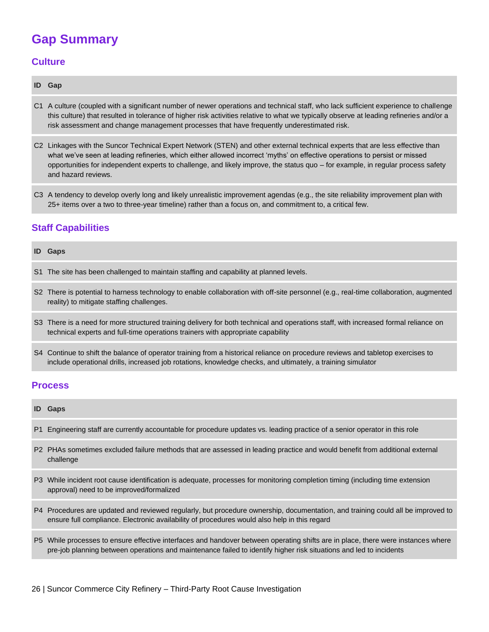# <span id="page-25-0"></span>**Gap Summary**

## **Culture**

| ID             | Gap                                                                                                                                                                                                                                                                                                                                                                                                                |
|----------------|--------------------------------------------------------------------------------------------------------------------------------------------------------------------------------------------------------------------------------------------------------------------------------------------------------------------------------------------------------------------------------------------------------------------|
| C1             | A culture (coupled with a significant number of newer operations and technical staff, who lack sufficient experience to challenge<br>this culture) that resulted in tolerance of higher risk activities relative to what we typically observe at leading refineries and/or a<br>risk assessment and change management processes that have frequently underestimated risk.                                          |
| C <sub>2</sub> | Linkages with the Suncor Technical Expert Network (STEN) and other external technical experts that are less effective than<br>what we've seen at leading refineries, which either allowed incorrect 'myths' on effective operations to persist or missed<br>opportunities for independent experts to challenge, and likely improve, the status quo – for example, in regular process safety<br>and hazard reviews. |
| C <sub>3</sub> | A tendency to develop overly long and likely unrealistic improvement agendas (e.g., the site reliability improvement plan with<br>25+ items over a two to three-year timeline) rather than a focus on, and commitment to, a critical few.                                                                                                                                                                          |
|                | $\mathbf{A}$ . The $\mathbf{A}$ - It is the set                                                                                                                                                                                                                                                                                                                                                                    |

## **Staff Capabilities**

| <b>ID</b> Gaps                                                                                                                                                                                                         |
|------------------------------------------------------------------------------------------------------------------------------------------------------------------------------------------------------------------------|
| S1 The site has been challenged to maintain staffing and capability at planned levels.                                                                                                                                 |
| S2 There is potential to harness technology to enable collaboration with off-site personnel (e.g., real-time collaboration, augmented<br>reality) to mitigate staffing challenges.                                     |
| S3 There is a need for more structured training delivery for both technical and operations staff, with increased formal reliance on<br>technical experts and full-time operations trainers with appropriate capability |
|                                                                                                                                                                                                                        |

S4 Continue to shift the balance of operator training from a historical reliance on procedure reviews and tabletop exercises to include operational drills, increased job rotations, knowledge checks, and ultimately, a training simulator

## **Process**

|                | <b>ID</b> Gaps                                                                                                                                                                                                                                      |
|----------------|-----------------------------------------------------------------------------------------------------------------------------------------------------------------------------------------------------------------------------------------------------|
| P1             | Engineering staff are currently accountable for procedure updates vs. leading practice of a senior operator in this role                                                                                                                            |
|                | P2 PHAs sometimes excluded failure methods that are assessed in leading practice and would benefit from additional external<br>challenge                                                                                                            |
|                | P3 While incident root cause identification is adequate, processes for monitoring completion timing (including time extension<br>approval) need to be improved/formalized                                                                           |
|                | P4 Procedures are updated and reviewed regularly, but procedure ownership, documentation, and training could all be improved to<br>ensure full compliance. Electronic availability of procedures would also help in this regard                     |
| P <sub>5</sub> | While processes to ensure effective interfaces and handover between operating shifts are in place, there were instances where<br>pre-job planning between operations and maintenance failed to identify higher risk situations and led to incidents |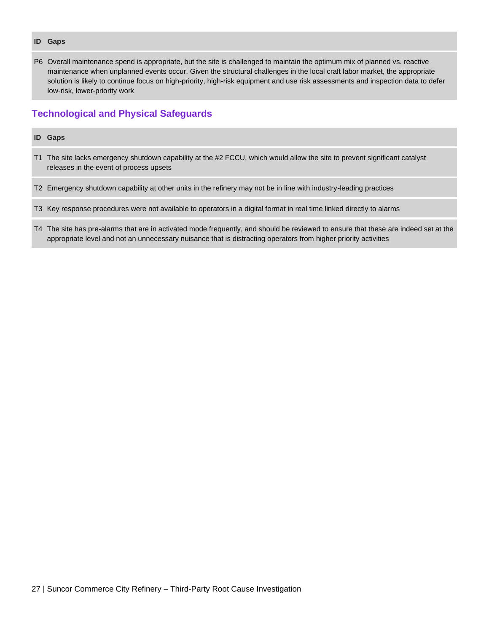#### **ID Gaps**

P6 Overall maintenance spend is appropriate, but the site is challenged to maintain the optimum mix of planned vs. reactive maintenance when unplanned events occur. Given the structural challenges in the local craft labor market, the appropriate solution is likely to continue focus on high-priority, high-risk equipment and use risk assessments and inspection data to defer low-risk, lower-priority work

## **Technological and Physical Safeguards**

## **ID Gaps**

T1 The site lacks emergency shutdown capability at the #2 FCCU, which would allow the site to prevent significant catalyst releases in the event of process upsets

T2 Emergency shutdown capability at other units in the refinery may not be in line with industry-leading practices

#### T3 Key response procedures were not available to operators in a digital format in real time linked directly to alarms

T4 The site has pre-alarms that are in activated mode frequently, and should be reviewed to ensure that these are indeed set at the appropriate level and not an unnecessary nuisance that is distracting operators from higher priority activities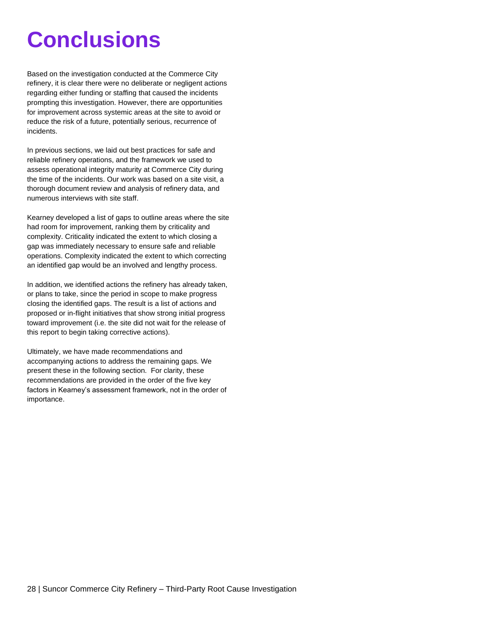# <span id="page-27-0"></span>**Conclusions**

Based on the investigation conducted at the Commerce City refinery, it is clear there were no deliberate or negligent actions regarding either funding or staffing that caused the incidents prompting this investigation. However, there are opportunities for improvement across systemic areas at the site to avoid or reduce the risk of a future, potentially serious, recurrence of incidents.

In previous sections, we laid out best practices for safe and reliable refinery operations, and the framework we used to assess operational integrity maturity at Commerce City during the time of the incidents. Our work was based on a site visit, a thorough document review and analysis of refinery data, and numerous interviews with site staff.

Kearney developed a list of gaps to outline areas where the site had room for improvement, ranking them by criticality and complexity. Criticality indicated the extent to which closing a gap was immediately necessary to ensure safe and reliable operations. Complexity indicated the extent to which correcting an identified gap would be an involved and lengthy process.

In addition, we identified actions the refinery has already taken, or plans to take, since the period in scope to make progress closing the identified gaps. The result is a list of actions and proposed or in-flight initiatives that show strong initial progress toward improvement (i.e. the site did not wait for the release of this report to begin taking corrective actions).

Ultimately, we have made recommendations and accompanying actions to address the remaining gaps. We present these in the following section. For clarity, these recommendations are provided in the order of the five key factors in Kearney's assessment framework, not in the order of importance.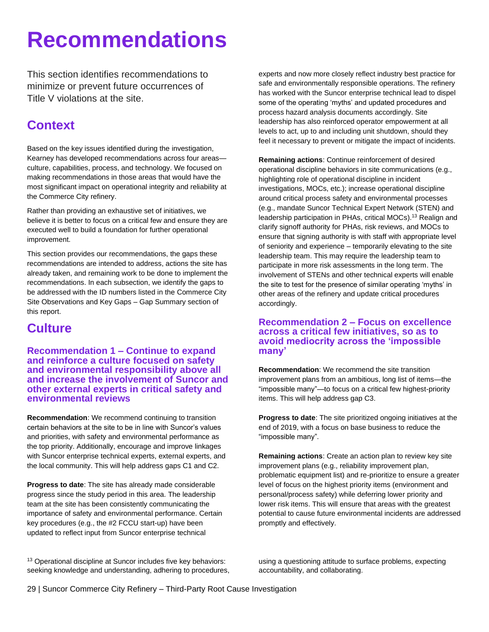# <span id="page-28-0"></span>**Recommendations**

This section identifies recommendations to minimize or prevent future occurrences of Title V violations at the site.

# <span id="page-28-1"></span>**Context**

Based on the key issues identified during the investigation, Kearney has developed recommendations across four areas culture, capabilities, process, and technology. We focused on making recommendations in those areas that would have the most significant impact on operational integrity and reliability at the Commerce City refinery.

Rather than providing an exhaustive set of initiatives, we believe it is better to focus on a critical few and ensure they are executed well to build a foundation for further operational improvement.

This section provides our recommendations, the gaps these recommendations are intended to address, actions the site has already taken, and remaining work to be done to implement the recommendations. In each subsection, we identify the gaps to be addressed with the ID numbers listed in th[e Commerce City](#page-13-0)  Site [Observations](#page-13-0) and Key Gaps – [Gap Summary](#page-25-0) section of this report.

# <span id="page-28-2"></span>**Culture**

**Recommendation 1 – Continue to expand and reinforce a culture focused on safety and environmental responsibility above all and increase the involvement of Suncor and other external experts in critical safety and environmental reviews**

**Recommendation**: We recommend continuing to transition certain behaviors at the site to be in line with Suncor's values and priorities, with safety and environmental performance as the top priority. Additionally, encourage and improve linkages with Suncor enterprise technical experts, external experts, and the local community. This will help address gaps C1 and C2.

**Progress to date**: The site has already made considerable progress since the study period in this area. The leadership team at the site has been consistently communicating the importance of safety and environmental performance. Certain key procedures (e.g., the #2 FCCU start-up) have been updated to reflect input from Suncor enterprise technical

experts and now more closely reflect industry best practice for safe and environmentally responsible operations. The refinery has worked with the Suncor enterprise technical lead to dispel some of the operating 'myths' and updated procedures and process hazard analysis documents accordingly. Site leadership has also reinforced operator empowerment at all levels to act, up to and including unit shutdown, should they feel it necessary to prevent or mitigate the impact of incidents.

**Remaining actions**: Continue reinforcement of desired operational discipline behaviors in site communications (e.g., highlighting role of operational discipline in incident investigations, MOCs, etc.); increase operational discipline around critical process safety and environmental processes (e.g., mandate Suncor Technical Expert Network (STEN) and leadership participation in PHAs, critical MOCs).<sup>13</sup> Realign and clarify signoff authority for PHAs, risk reviews, and MOCs to ensure that signing authority is with staff with appropriate level of seniority and experience – temporarily elevating to the site leadership team. This may require the leadership team to participate in more risk assessments in the long term. The involvement of STENs and other technical experts will enable the site to test for the presence of similar operating 'myths' in other areas of the refinery and update critical procedures accordingly.

## **Recommendation 2 – Focus on excellence across a critical few initiatives, so as to avoid mediocrity across the 'impossible** many'

**Recommendation**: We recommend the site transition improvement plans from an ambitious, long list of items—the "impossible many"—to focus on a critical few highest-priority items. This will help address gap C3.

**Progress to date**: The site prioritized ongoing initiatives at the end of 2019, with a focus on base business to reduce the "impossible many".

**Remaining actions**: Create an action plan to review key site improvement plans (e.g., reliability improvement plan, problematic equipment list) and re-prioritize to ensure a greater level of focus on the highest priority items (environment and personal/process safety) while deferring lower priority and lower risk items. This will ensure that areas with the greatest potential to cause future environmental incidents are addressed promptly and effectively.

<sup>13</sup> Operational discipline at Suncor includes five key behaviors: seeking knowledge and understanding, adhering to procedures, using a questioning attitude to surface problems, expecting accountability, and collaborating.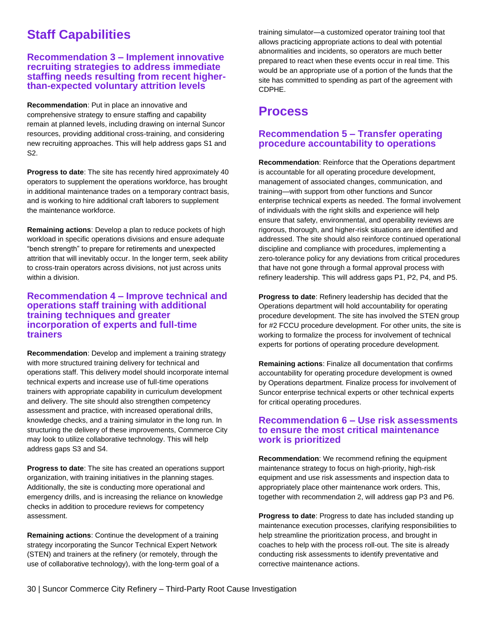# <span id="page-29-0"></span>**Staff Capabilities**

## **Recommendation 3 – Implement innovative recruiting strategies to address immediate staffing needs resulting from recent higherthan-expected voluntary attrition levels**

**Recommendation**: Put in place an innovative and comprehensive strategy to ensure staffing and capability remain at planned levels, including drawing on internal Suncor resources, providing additional cross-training, and considering new recruiting approaches. This will help address gaps S1 and S2.

**Progress to date**: The site has recently hired approximately 40 operators to supplement the operations workforce, has brought in additional maintenance trades on a temporary contract basis, and is working to hire additional craft laborers to supplement the maintenance workforce.

**Remaining actions**: Develop a plan to reduce pockets of high workload in specific operations divisions and ensure adequate "bench strength" to prepare for retirements and unexpected attrition that will inevitably occur. In the longer term, seek ability to cross-train operators across divisions, not just across units within a division.

## **Recommendation 4 – Improve technical and operations staff training with additional training techniques and greater incorporation of experts and full-time trainers**

**Recommendation**: Develop and implement a training strategy with more structured training delivery for technical and operations staff. This delivery model should incorporate internal technical experts and increase use of full-time operations trainers with appropriate capability in curriculum development and delivery. The site should also strengthen competency assessment and practice, with increased operational drills, knowledge checks, and a training simulator in the long run. In structuring the delivery of these improvements, Commerce City may look to utilize collaborative technology. This will help address gaps S3 and S4.

**Progress to date**: The site has created an operations support organization, with training initiatives in the planning stages. Additionally, the site is conducting more operational and emergency drills, and is increasing the reliance on knowledge checks in addition to procedure reviews for competency assessment.

**Remaining actions**: Continue the development of a training strategy incorporating the Suncor Technical Expert Network (STEN) and trainers at the refinery (or remotely, through the use of collaborative technology), with the long-term goal of a training simulator—a customized operator training tool that allows practicing appropriate actions to deal with potential abnormalities and incidents, so operators are much better prepared to react when these events occur in real time. This would be an appropriate use of a portion of the funds that the site has committed to spending as part of the agreement with CDPHE.

## <span id="page-29-1"></span>**Process**

## **Recommendation 5 – Transfer operating procedure accountability to operations**

**Recommendation**: Reinforce that the Operations department is accountable for all operating procedure development, management of associated changes, communication, and training—with support from other functions and Suncor enterprise technical experts as needed. The formal involvement of individuals with the right skills and experience will help ensure that safety, environmental, and operability reviews are rigorous, thorough, and higher-risk situations are identified and addressed. The site should also reinforce continued operational discipline and compliance with procedures, implementing a zero-tolerance policy for any deviations from critical procedures that have not gone through a formal approval process with refinery leadership. This will address gaps P1, P2, P4, and P5.

**Progress to date**: Refinery leadership has decided that the Operations department will hold accountability for operating procedure development. The site has involved the STEN group for #2 FCCU procedure development. For other units, the site is working to formalize the process for involvement of technical experts for portions of operating procedure development.

**Remaining actions**: Finalize all documentation that confirms accountability for operating procedure development is owned by Operations department. Finalize process for involvement of Suncor enterprise technical experts or other technical experts for critical operating procedures.

## **Recommendation 6 – Use risk assessments to ensure the most critical maintenance work is prioritized**

**Recommendation**: We recommend refining the equipment maintenance strategy to focus on high-priority, high-risk equipment and use risk assessments and inspection data to appropriately place other maintenance work orders. This, together with recommendation 2, will address gap P3 and P6.

**Progress to date**: Progress to date has included standing up maintenance execution processes, clarifying responsibilities to help streamline the prioritization process, and brought in coaches to help with the process roll-out. The site is already conducting risk assessments to identify preventative and corrective maintenance actions.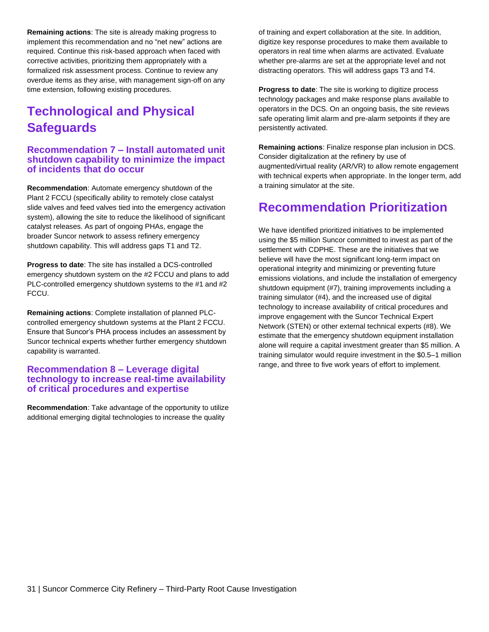**Remaining actions**: The site is already making progress to implement this recommendation and no "net new" actions are required. Continue this risk-based approach when faced with corrective activities, prioritizing them appropriately with a formalized risk assessment process. Continue to review any overdue items as they arise, with management sign-off on any time extension, following existing procedures.

# <span id="page-30-0"></span>**Technological and Physical Safeguards**

## **Recommendation 7 – Install automated unit shutdown capability to minimize the impact of incidents that do occur**

**Recommendation**: Automate emergency shutdown of the Plant 2 FCCU (specifically ability to remotely close catalyst slide valves and feed valves tied into the emergency activation system), allowing the site to reduce the likelihood of significant catalyst releases. As part of ongoing PHAs, engage the broader Suncor network to assess refinery emergency shutdown capability. This will address gaps T1 and T2.

**Progress to date**: The site has installed a DCS-controlled emergency shutdown system on the #2 FCCU and plans to add PLC-controlled emergency shutdown systems to the #1 and #2 FCCU.

**Remaining actions**: Complete installation of planned PLCcontrolled emergency shutdown systems at the Plant 2 FCCU. Ensure that Suncor's PHA process includes an assessment by Suncor technical experts whether further emergency shutdown capability is warranted.

## **Recommendation 8 – Leverage digital technology to increase real-time availability of critical procedures and expertise**

**Recommendation**: Take advantage of the opportunity to utilize additional emerging digital technologies to increase the quality

of training and expert collaboration at the site. In addition, digitize key response procedures to make them available to operators in real time when alarms are activated. Evaluate whether pre-alarms are set at the appropriate level and not distracting operators. This will address gaps T3 and T4.

**Progress to date**: The site is working to digitize process technology packages and make response plans available to operators in the DCS. On an ongoing basis, the site reviews safe operating limit alarm and pre-alarm setpoints if they are persistently activated.

**Remaining actions**: Finalize response plan inclusion in DCS. Consider digitalization at the refinery by use of augmented/virtual reality (AR/VR) to allow remote engagement with technical experts when appropriate. In the longer term, add a training simulator at the site.

# <span id="page-30-1"></span>**Recommendation Prioritization**

We have identified prioritized initiatives to be implemented using the \$5 million Suncor committed to invest as part of the settlement with CDPHE. These are the initiatives that we believe will have the most significant long-term impact on operational integrity and minimizing or preventing future emissions violations, and include the installation of emergency shutdown equipment (#7), training improvements including a training simulator (#4), and the increased use of digital technology to increase availability of critical procedures and improve engagement with the Suncor Technical Expert Network (STEN) or other external technical experts (#8). We estimate that the emergency shutdown equipment installation alone will require a capital investment greater than \$5 million. A training simulator would require investment in the \$0.5–1 million range, and three to five work years of effort to implement.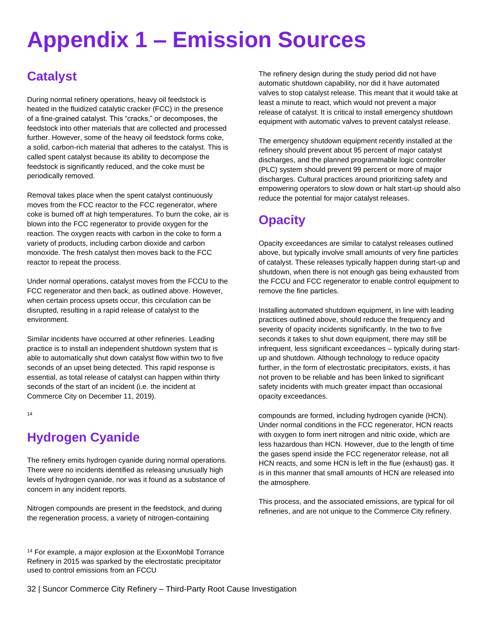# <span id="page-31-0"></span>**Appendix 1 – Emission Sources**

# <span id="page-31-1"></span>**Catalyst**

During normal refinery operations, heavy oil feedstock is heated in the fluidized catalytic cracker (FCC) in the presence of a fine-grained catalyst. This "cracks," or decomposes, the feedstock into other materials that are collected and processed further. However, some of the heavy oil feedstock forms coke, a solid, carbon-rich material that adheres to the catalyst. This is called spent catalyst because its ability to decompose the feedstock is significantly reduced, and the coke must be periodically removed.

Removal takes place when the spent catalyst continuously moves from the FCC reactor to the FCC regenerator, where coke is burned off at high temperatures. To burn the coke, air is blown into the FCC regenerator to provide oxygen for the reaction. The oxygen reacts with carbon in the coke to form a variety of products, including carbon dioxide and carbon monoxide. The fresh catalyst then moves back to the FCC reactor to repeat the process.

Under normal operations, catalyst moves from the FCCU to the FCC regenerator and then back, as outlined above. However, when certain process upsets occur, this circulation can be disrupted, resulting in a rapid release of catalyst to the environment.

Similar incidents have occurred at other refineries. Leading practice is to install an independent shutdown system that is able to automatically shut down catalyst flow within two to five seconds of an upset being detected. This rapid response is essential, as total release of catalyst can happen within thirty seconds of the start of an incident (i.e. the incident at Commerce City on December 11, 2019).

14

# <span id="page-31-3"></span>**Hydrogen Cyanide**

The refinery emits hydrogen cyanide during normal operations. There were no incidents identified as releasing unusually high levels of hydrogen cyanide, nor was it found as a substance of concern in any incident reports.

Nitrogen compounds are present in the feedstock, and during the regeneration process, a variety of nitrogen-containing

<sup>14</sup> For example, a major explosion at the ExxonMobil Torrance Refinery in 2015 was sparked by the electrostatic precipitator used to control emissions from an FCCU

The refinery design during the study period did not have automatic shutdown capability, nor did it have automated valves to stop catalyst release. This meant that it would take at least a minute to react, which would not prevent a major release of catalyst. It is critical to install emergency shutdown equipment with automatic valves to prevent catalyst release.

The emergency shutdown equipment recently installed at the refinery should prevent about 95 percent of major catalyst discharges, and the planned programmable logic controller (PLC) system should prevent 99 percent or more of major discharges. Cultural practices around prioritizing safety and empowering operators to slow down or halt start-up should also reduce the potential for major catalyst releases.

# <span id="page-31-2"></span>**Opacity**

Opacity exceedances are similar to catalyst releases outlined above, but typically involve small amounts of very fine particles of catalyst. These releases typically happen during start-up and shutdown, when there is not enough gas being exhausted from the FCCU and FCC regenerator to enable control equipment to remove the fine particles.

Installing automated shutdown equipment, in line with leading practices outlined above, should reduce the frequency and severity of opacity incidents significantly. In the two to five seconds it takes to shut down equipment, there may still be infrequent, less significant exceedances – typically during startup and shutdown. Although technology to reduce opacity further, in the form of electrostatic precipitators, exists, it has not proven to be reliable and has been linked to significant safety incidents with much greater impact than occasional opacity exceedances.

compounds are formed, including hydrogen cyanide (HCN). Under normal conditions in the FCC regenerator, HCN reacts with oxygen to form inert nitrogen and nitric oxide, which are less hazardous than HCN. However, due to the length of time the gases spend inside the FCC regenerator release, not all HCN reacts, and some HCN is left in the flue (exhaust) gas. It is in this manner that small amounts of HCN are released into the atmosphere.

This process, and the associated emissions, are typical for oil refineries, and are not unique to the Commerce City refinery.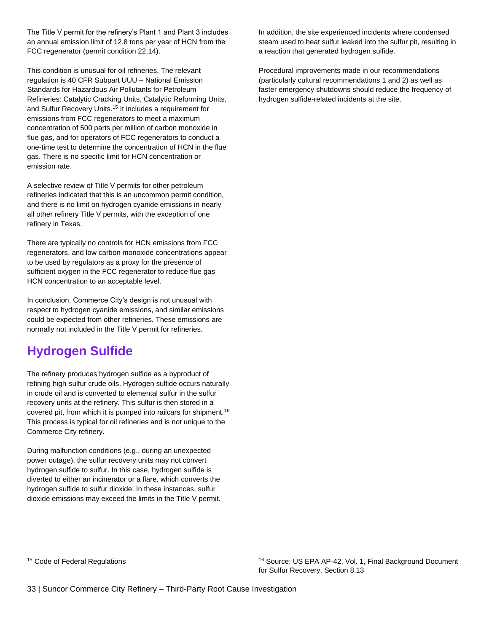The Title V permit for the refinery's Plant 1 and Plant 3 includes an annual emission limit of 12.8 tons per year of HCN from the FCC regenerator (permit condition 22.14).

This condition is unusual for oil refineries. The relevant regulation is 40 CFR Subpart UUU – National Emission Standards for Hazardous Air Pollutants for Petroleum Refineries: Catalytic Cracking Units, Catalytic Reforming Units, and Sulfur Recovery Units.<sup>15</sup> It includes a requirement for emissions from FCC regenerators to meet a maximum concentration of 500 parts per million of carbon monoxide in flue gas, and for operators of FCC regenerators to conduct a one-time test to determine the concentration of HCN in the flue gas. There is no specific limit for HCN concentration or emission rate.

A selective review of Title V permits for other petroleum refineries indicated that this is an uncommon permit condition, and there is no limit on hydrogen cyanide emissions in nearly all other refinery Title V permits, with the exception of one refinery in Texas.

There are typically no controls for HCN emissions from FCC regenerators, and low carbon monoxide concentrations appear to be used by regulators as a proxy for the presence of sufficient oxygen in the FCC regenerator to reduce flue gas HCN concentration to an acceptable level.

In conclusion, Commerce City's design is not unusual with respect to hydrogen cyanide emissions, and similar emissions could be expected from other refineries. These emissions are normally not included in the Title V permit for refineries.

# <span id="page-32-0"></span>**Hydrogen Sulfide**

The refinery produces hydrogen sulfide as a byproduct of refining high-sulfur crude oils. Hydrogen sulfide occurs naturally in crude oil and is converted to elemental sulfur in the sulfur recovery units at the refinery. This sulfur is then stored in a covered pit, from which it is pumped into railcars for shipment.<sup>16</sup> This process is typical for oil refineries and is not unique to the Commerce City refinery.

During malfunction conditions (e.g., during an unexpected power outage), the sulfur recovery units may not convert hydrogen sulfide to sulfur. In this case, hydrogen sulfide is diverted to either an incinerator or a flare, which converts the hydrogen sulfide to sulfur dioxide. In these instances, sulfur dioxide emissions may exceed the limits in the Title V permit. In addition, the site experienced incidents where condensed steam used to heat sulfur leaked into the sulfur pit, resulting in a reaction that generated hydrogen sulfide.

Procedural improvements made in our recommendations (particularly cultural recommendations 1 and 2) as well as faster emergency shutdowns should reduce the frequency of hydrogen sulfide-related incidents at the site.